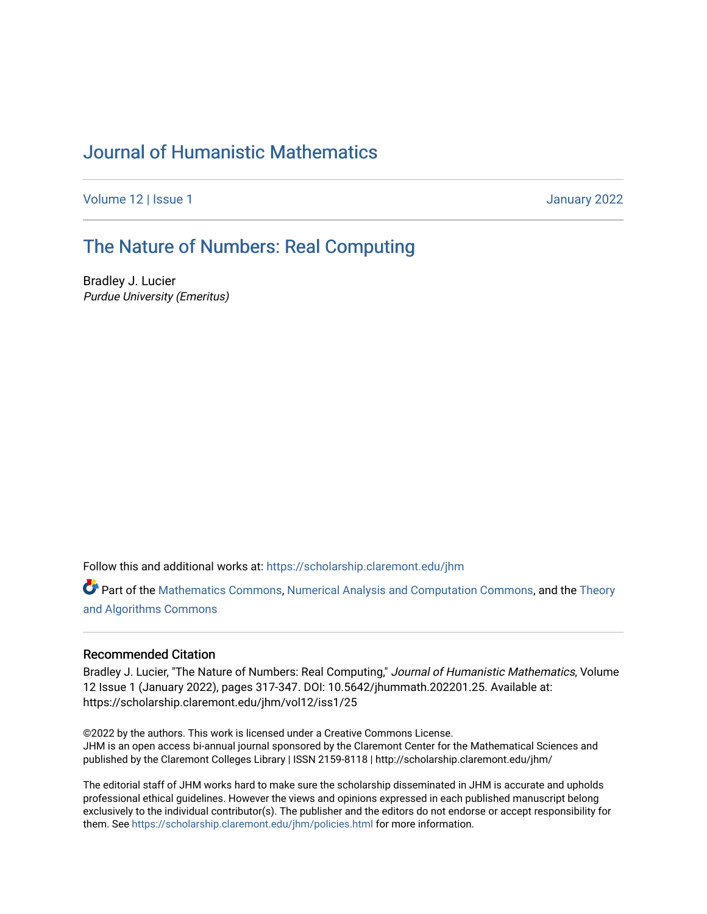# [Journal of Humanistic Mathematics](https://scholarship.claremont.edu/jhm)

[Volume 12](https://scholarship.claremont.edu/jhm/vol12) | Issue 1 January 2022

# [The Nature of Numbers: Real Computing](https://scholarship.claremont.edu/jhm/vol12/iss1/25)

Bradley J. Lucier Purdue University (Emeritus)

Follow this and additional works at: [https://scholarship.claremont.edu/jhm](https://scholarship.claremont.edu/jhm?utm_source=scholarship.claremont.edu%2Fjhm%2Fvol12%2Fiss1%2F25&utm_medium=PDF&utm_campaign=PDFCoverPages)

Part of the [Mathematics Commons](http://network.bepress.com/hgg/discipline/174?utm_source=scholarship.claremont.edu%2Fjhm%2Fvol12%2Fiss1%2F25&utm_medium=PDF&utm_campaign=PDFCoverPages), [Numerical Analysis and Computation Commons](http://network.bepress.com/hgg/discipline/119?utm_source=scholarship.claremont.edu%2Fjhm%2Fvol12%2Fiss1%2F25&utm_medium=PDF&utm_campaign=PDFCoverPages), and the Theory [and Algorithms Commons](http://network.bepress.com/hgg/discipline/151?utm_source=scholarship.claremont.edu%2Fjhm%2Fvol12%2Fiss1%2F25&utm_medium=PDF&utm_campaign=PDFCoverPages)

## Recommended Citation

Bradley J. Lucier, "The Nature of Numbers: Real Computing," Journal of Humanistic Mathematics, Volume 12 Issue 1 (January 2022), pages 317-347. DOI: 10.5642/jhummath.202201.25. Available at: https://scholarship.claremont.edu/jhm/vol12/iss1/25

©2022 by the authors. This work is licensed under a Creative Commons License. JHM is an open access bi-annual journal sponsored by the Claremont Center for the Mathematical Sciences and published by the Claremont Colleges Library | ISSN 2159-8118 | http://scholarship.claremont.edu/jhm/

The editorial staff of JHM works hard to make sure the scholarship disseminated in JHM is accurate and upholds professional ethical guidelines. However the views and opinions expressed in each published manuscript belong exclusively to the individual contributor(s). The publisher and the editors do not endorse or accept responsibility for them. See<https://scholarship.claremont.edu/jhm/policies.html> for more information.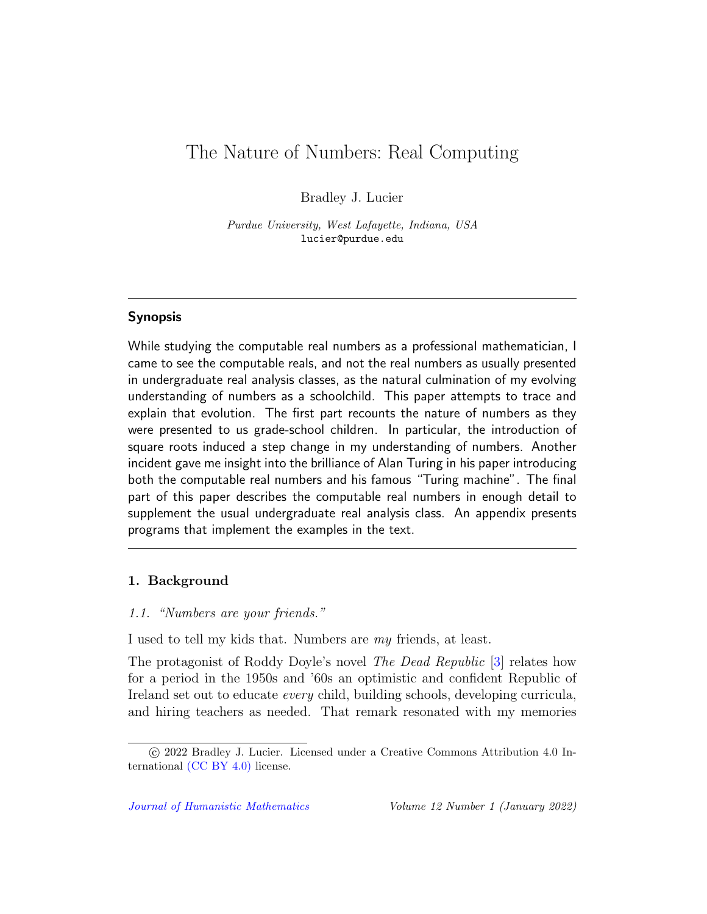# <span id="page-1-0"></span>The Nature of Numbers: Real Computing

Bradley J. Lucier

Purdue University, West Lafayette, Indiana, USA lucier@purdue.edu

# Synopsis

While studying the computable real numbers as a professional mathematician, I came to see the computable reals, and not the real numbers as usually presented in undergraduate real analysis classes, as the natural culmination of my evolving understanding of numbers as a schoolchild. This paper attempts to trace and explain that evolution. The first part recounts the nature of numbers as they were presented to us grade-school children. In particular, the introduction of square roots induced a step change in my understanding of numbers. Another incident gave me insight into the brilliance of Alan Turing in his paper introducing both the computable real numbers and his famous "Turing machine". The final part of this paper describes the computable real numbers in enough detail to supplement the usual undergraduate real analysis class. An appendix presents programs that implement the examples in the text.

# 1. Background

# 1.1. "Numbers are your friends."

I used to tell my kids that. Numbers are my friends, at least.

The protagonist of Roddy Doyle's novel The Dead Republic [\[3\]](#page-29-0) relates how for a period in the 1950s and '60s an optimistic and confident Republic of Ireland set out to educate every child, building schools, developing curricula, and hiring teachers as needed. That remark resonated with my memories

c 2022 Bradley J. Lucier. Licensed under a Creative Commons Attribution 4.0 International [\(CC BY 4.0\)](https://creativecommons.org/licenses/by/4.0/) license.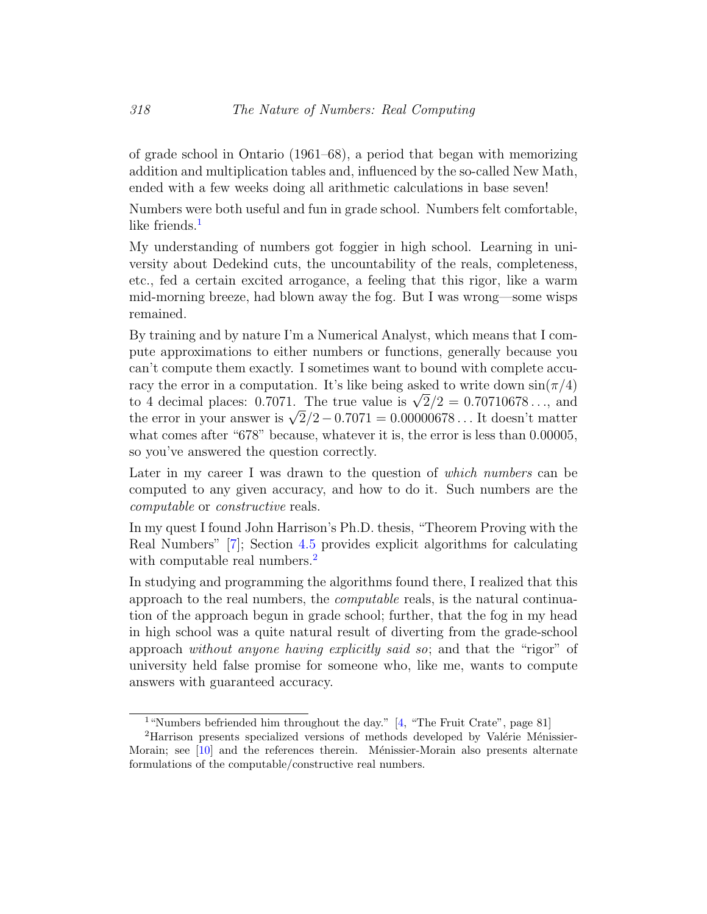of grade school in Ontario (1961–68), a period that began with memorizing addition and multiplication tables and, influenced by the so-called New Math, ended with a few weeks doing all arithmetic calculations in base seven!

Numbers were both useful and fun in grade school. Numbers felt comfortable, like friends. $<sup>1</sup>$  $<sup>1</sup>$  $<sup>1</sup>$ </sup>

My understanding of numbers got foggier in high school. Learning in university about Dedekind cuts, the uncountability of the reals, completeness, etc., fed a certain excited arrogance, a feeling that this rigor, like a warm mid-morning breeze, had blown away the fog. But I was wrong—some wisps remained.

By training and by nature I'm a Numerical Analyst, which means that I compute approximations to either numbers or functions, generally because you can't compute them exactly. I sometimes want to bound with complete accuracy the error in a computation. It's like being asked to write down  $\sin(\pi/4)$ racy the error in a computation. It's like being asked to write down sin( $\pi/4$ )<br>to 4 decimal places: 0.7071. The true value is  $\sqrt{2}/2 = 0.70710678...$ , and to 4 decimal places:  $0.7071$ . The true value is  $\sqrt{2}/2 = 0.70710078...$ , and the error in your answer is  $\sqrt{2}/2 - 0.7071 = 0.00000678...$  It doesn't matter what comes after "678" because, whatever it is, the error is less than 0.00005, so you've answered the question correctly.

Later in my career I was drawn to the question of *which numbers* can be computed to any given accuracy, and how to do it. Such numbers are the computable or constructive reals.

In my quest I found John Harrison's Ph.D. thesis, "Theorem Proving with the Real Numbers" [\[7\]](#page-29-1); Section [4.5](#page-15-0) provides explicit algorithms for calculating with computable real numbers.<sup>[2](#page-1-0)</sup>

In studying and programming the algorithms found there, I realized that this approach to the real numbers, the computable reals, is the natural continuation of the approach begun in grade school; further, that the fog in my head in high school was a quite natural result of diverting from the grade-school approach without anyone having explicitly said so; and that the "rigor" of university held false promise for someone who, like me, wants to compute answers with guaranteed accuracy.

<sup>&</sup>lt;sup>1</sup>"Numbers befriended him throughout the day." [\[4,](#page-29-2) "The Fruit Crate", page 81]

 ${}^{2}$ Harrison presents specialized versions of methods developed by Valérie Ménissier-Morain; see  $[10]$  and the references therein. Ménissier-Morain also presents alternate formulations of the computable/constructive real numbers.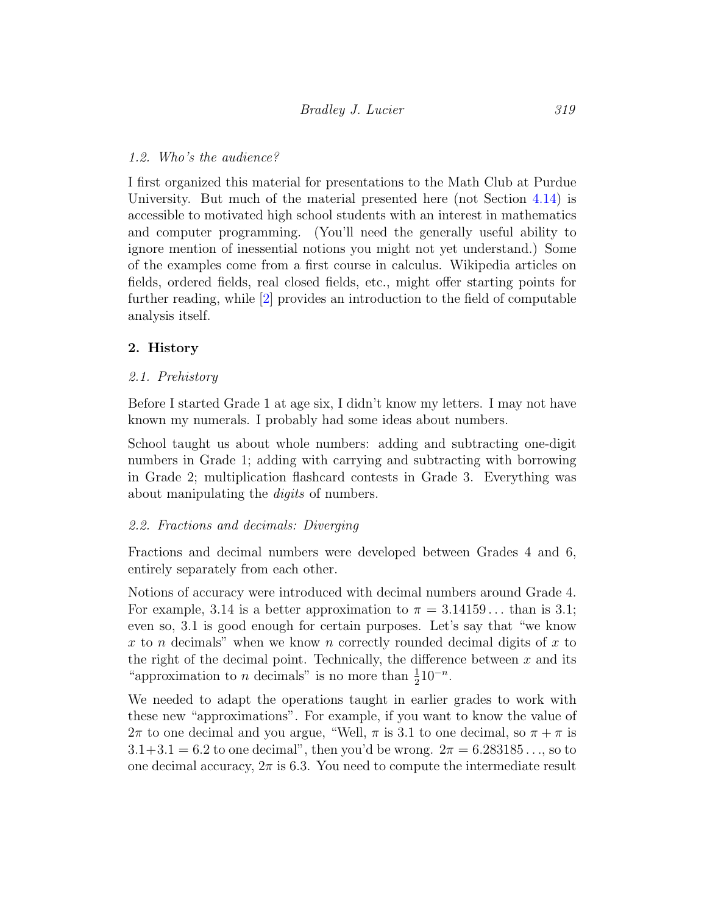# 1.2. Who's the audience?

I first organized this material for presentations to the Math Club at Purdue University. But much of the material presented here (not Section [4.14\)](#page-23-0) is accessible to motivated high school students with an interest in mathematics and computer programming. (You'll need the generally useful ability to ignore mention of inessential notions you might not yet understand.) Some of the examples come from a first course in calculus. Wikipedia articles on fields, ordered fields, real closed fields, etc., might offer starting points for further reading, while [\[2\]](#page-29-4) provides an introduction to the field of computable analysis itself.

# 2. History

# 2.1. Prehistory

Before I started Grade 1 at age six, I didn't know my letters. I may not have known my numerals. I probably had some ideas about numbers.

School taught us about whole numbers: adding and subtracting one-digit numbers in Grade 1; adding with carrying and subtracting with borrowing in Grade 2; multiplication flashcard contests in Grade 3. Everything was about manipulating the digits of numbers.

## <span id="page-3-0"></span>2.2. Fractions and decimals: Diverging

Fractions and decimal numbers were developed between Grades 4 and 6, entirely separately from each other.

Notions of accuracy were introduced with decimal numbers around Grade 4. For example, 3.14 is a better approximation to  $\pi = 3.14159...$  than is 3.1; even so, 3.1 is good enough for certain purposes. Let's say that "we know x to n decimals" when we know n correctly rounded decimal digits of x to the right of the decimal point. Technically, the difference between  $x$  and its "approximation to *n* decimals" is no more than  $\frac{1}{2}10^{-n}$ .

We needed to adapt the operations taught in earlier grades to work with these new "approximations". For example, if you want to know the value of  $2\pi$  to one decimal and you argue, "Well,  $\pi$  is 3.1 to one decimal, so  $\pi + \pi$  is  $3.1+3.1 = 6.2$  to one decimal", then you'd be wrong.  $2\pi = 6.283185...$ , so to one decimal accuracy,  $2\pi$  is 6.3. You need to compute the intermediate result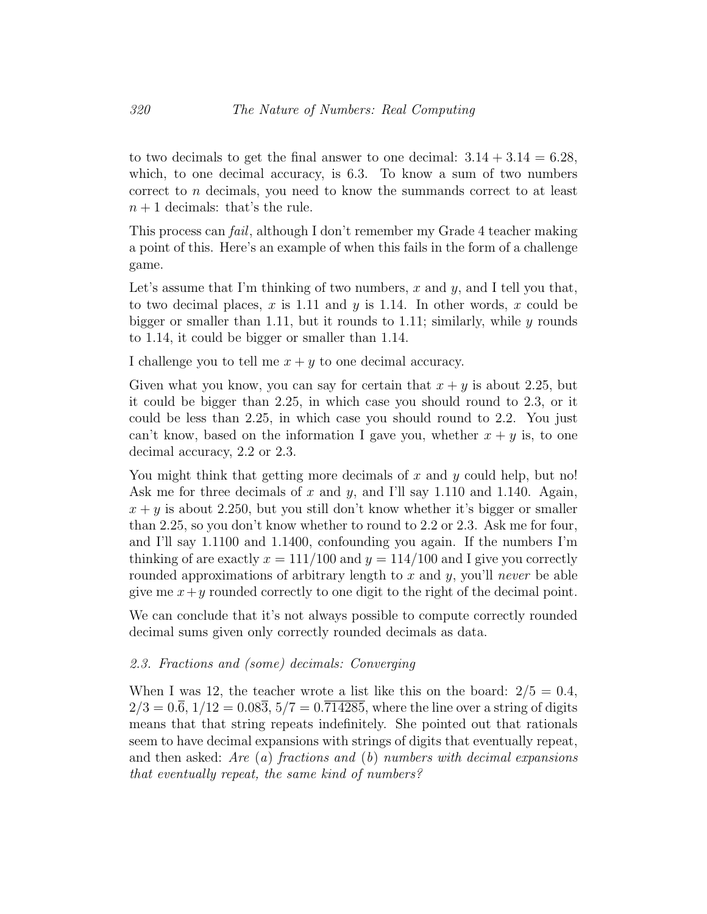to two decimals to get the final answer to one decimal:  $3.14 + 3.14 = 6.28$ , which, to one decimal accuracy, is 6.3. To know a sum of two numbers correct to n decimals, you need to know the summands correct to at least  $n + 1$  decimals: that's the rule.

This process can fail, although I don't remember my Grade 4 teacher making a point of this. Here's an example of when this fails in the form of a challenge game.

Let's assume that I'm thinking of two numbers, x and  $y$ , and I tell you that, to two decimal places, x is 1.11 and y is 1.14. In other words, x could be bigger or smaller than 1.11, but it rounds to 1.11; similarly, while  $y$  rounds to 1.14, it could be bigger or smaller than 1.14.

I challenge you to tell me  $x + y$  to one decimal accuracy.

Given what you know, you can say for certain that  $x + y$  is about 2.25, but it could be bigger than 2.25, in which case you should round to 2.3, or it could be less than 2.25, in which case you should round to 2.2. You just can't know, based on the information I gave you, whether  $x + y$  is, to one decimal accuracy, 2.2 or 2.3.

You might think that getting more decimals of  $x$  and  $y$  could help, but no! Ask me for three decimals of x and y, and I'll say 1.110 and 1.140. Again,  $x + y$  is about 2.250, but you still don't know whether it's bigger or smaller than 2.25, so you don't know whether to round to 2.2 or 2.3. Ask me for four, and I'll say 1.1100 and 1.1400, confounding you again. If the numbers I'm thinking of are exactly  $x = 111/100$  and  $y = 114/100$  and I give you correctly rounded approximations of arbitrary length to x and y, you'll never be able give me  $x+y$  rounded correctly to one digit to the right of the decimal point.

We can conclude that it's not always possible to compute correctly rounded decimal sums given only correctly rounded decimals as data.

## 2.3. Fractions and (some) decimals: Converging

When I was 12, the teacher wrote a list like this on the board:  $2/5 = 0.4$ ,  $2/3 = 0.\overline{6}, 1/12 = 0.08\overline{3}, 5/7 = 0.\overline{714285}$ , where the line over a string of digits means that that string repeats indefinitely. She pointed out that rationals seem to have decimal expansions with strings of digits that eventually repeat, and then asked: Are  $(a)$  fractions and  $(b)$  numbers with decimal expansions that eventually repeat, the same kind of numbers?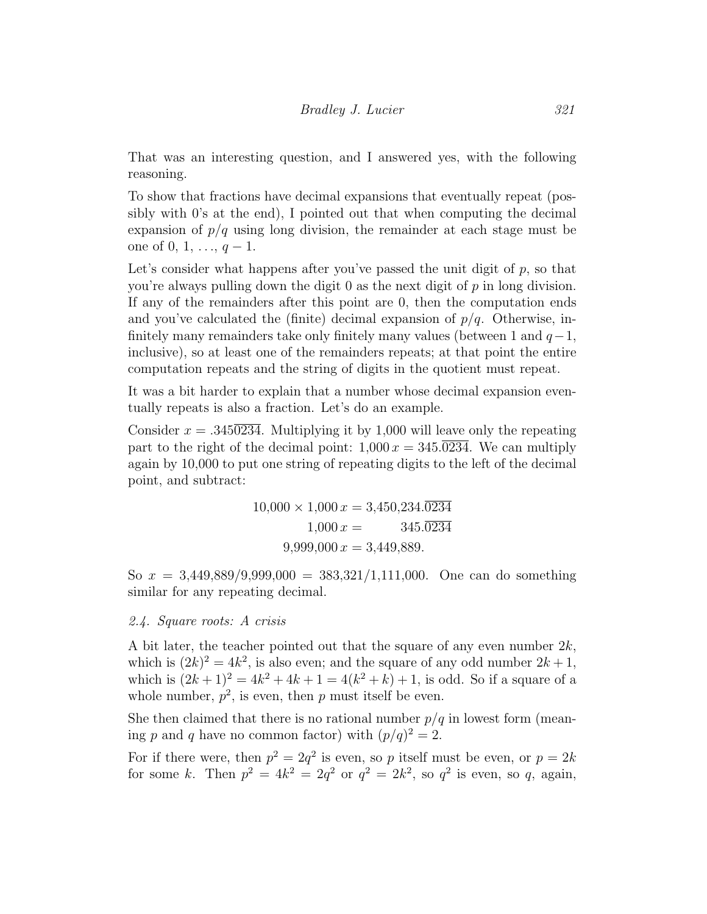That was an interesting question, and I answered yes, with the following reasoning.

To show that fractions have decimal expansions that eventually repeat (possibly with 0's at the end), I pointed out that when computing the decimal expansion of  $p/q$  using long division, the remainder at each stage must be one of 0, 1, ...,  $q-1$ .

Let's consider what happens after you've passed the unit digit of  $p$ , so that you're always pulling down the digit  $\theta$  as the next digit of  $p$  in long division. If any of the remainders after this point are 0, then the computation ends and you've calculated the (finite) decimal expansion of  $p/q$ . Otherwise, infinitely many remainders take only finitely many values (between 1 and  $q-1$ , inclusive), so at least one of the remainders repeats; at that point the entire computation repeats and the string of digits in the quotient must repeat.

It was a bit harder to explain that a number whose decimal expansion eventually repeats is also a fraction. Let's do an example.

Consider  $x = .3450234$ . Multiplying it by 1,000 will leave only the repeating part to the right of the decimal point:  $1,000 x = 345.0234$ . We can multiply again by 10,000 to put one string of repeating digits to the left of the decimal point, and subtract:

$$
10,000 \times 1,000 x = 3,450,234.\overline{0234}
$$

$$
1,000 x = 3,45.\overline{0234}
$$

$$
9,999,000 x = 3,449,889.
$$

So  $x = 3,449,889/9,999,000 = 383,321/1,111,000$ . One can do something similar for any repeating decimal.

### 2.4. Square roots: A crisis

A bit later, the teacher pointed out that the square of any even number  $2k$ , which is  $(2k)^2 = 4k^2$ , is also even; and the square of any odd number  $2k+1$ , which is  $(2k+1)^2 = 4k^2 + 4k + 1 = 4(k^2 + k) + 1$ , is odd. So if a square of a whole number,  $p^2$ , is even, then p must itself be even.

She then claimed that there is no rational number  $p/q$  in lowest form (meaning p and q have no common factor) with  $(p/q)^2 = 2$ .

For if there were, then  $p^2 = 2q^2$  is even, so p itself must be even, or  $p = 2k$ for some k. Then  $p^2 = 4k^2 = 2q^2$  or  $q^2 = 2k^2$ , so  $q^2$  is even, so q, again,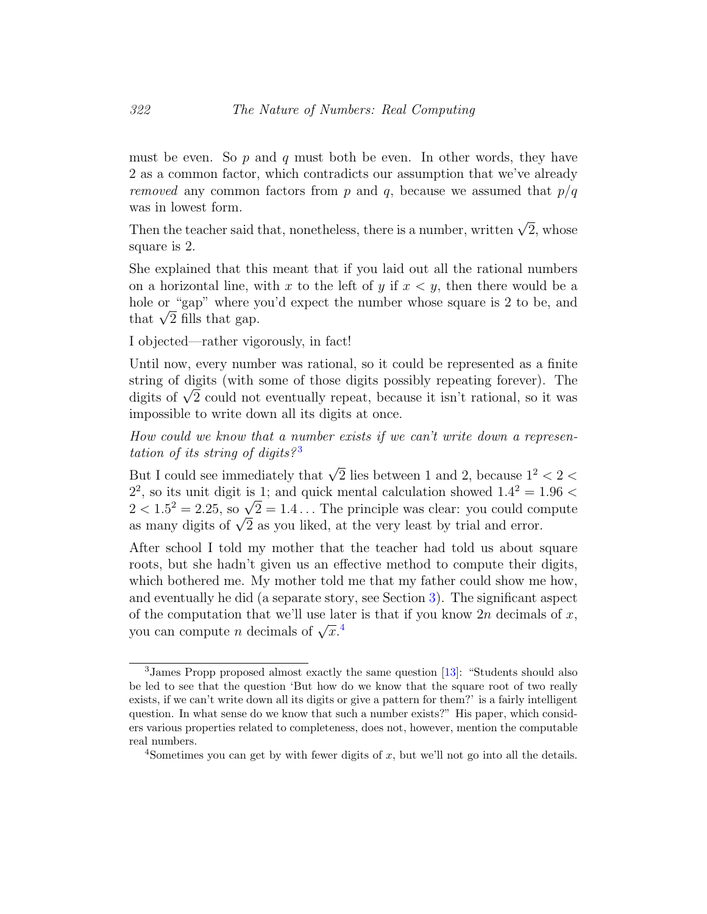must be even. So  $p$  and  $q$  must both be even. In other words, they have 2 as a common factor, which contradicts our assumption that we've already removed any common factors from p and q, because we assumed that  $p/q$ was in lowest form.

Then the teacher said that, nonetheless, there is a number, written  $\sqrt{2}$ , whose square is 2.

She explained that this meant that if you laid out all the rational numbers on a horizontal line, with x to the left of y if  $x < y$ , then there would be a hole or "gap" where you'd expect the number whose square is 2 to be, and nole or "gap" where y<br>that  $\sqrt{2}$  fills that gap.

I objected—rather vigorously, in fact!

Until now, every number was rational, so it could be represented as a finite string of digits (with some of those digits possibly repeating forever). The string or digits (with some or those digits possibly repeating forever). The digits of  $\sqrt{2}$  could not eventually repeat, because it isn't rational, so it was impossible to write down all its digits at once.

How could we know that a number exists if we can't write down a represen-tation of its string of digits?<sup>[3](#page-1-0)</sup>

But I could see immediately that  $\sqrt{2}$  lies between 1 and 2, because  $1^2 < 2 <$  $2^2$ , so its unit digit is 1; and quick mental calculation showed  $1.4^2 = 1.96$  <  $2^2$ , so its unit digit is 1; and quick mental calculation snowed  $1.4^2 = 1.96 < 2 < 1.5^2 = 2.25$ , so  $\sqrt{2} = 1.4 \dots$  The principle was clear: you could compute  $2 < 1.5^{\circ} = 2.25$ , so  $\sqrt{2} = 1.4...$  The principle was clear: you could con as many digits of  $\sqrt{2}$  as you liked, at the very least by trial and error.

After school I told my mother that the teacher had told us about square roots, but she hadn't given us an effective method to compute their digits, which bothered me. My mother told me that my father could show me how, and eventually he did (a separate story, see Section [3\)](#page-9-0). The significant aspect of the computation that we'll use later is that if you know  $2n$  decimals of x, by the computation that we n use fat<br>you can compute n decimals of  $\sqrt{x}$ .<sup>[4](#page-1-0)</sup>

<sup>3</sup>James Propp proposed almost exactly the same question [\[13\]](#page-30-0): "Students should also be led to see that the question 'But how do we know that the square root of two really exists, if we can't write down all its digits or give a pattern for them?' is a fairly intelligent question. In what sense do we know that such a number exists?" His paper, which considers various properties related to completeness, does not, however, mention the computable real numbers.

<sup>&</sup>lt;sup>4</sup>Sometimes you can get by with fewer digits of  $x$ , but we'll not go into all the details.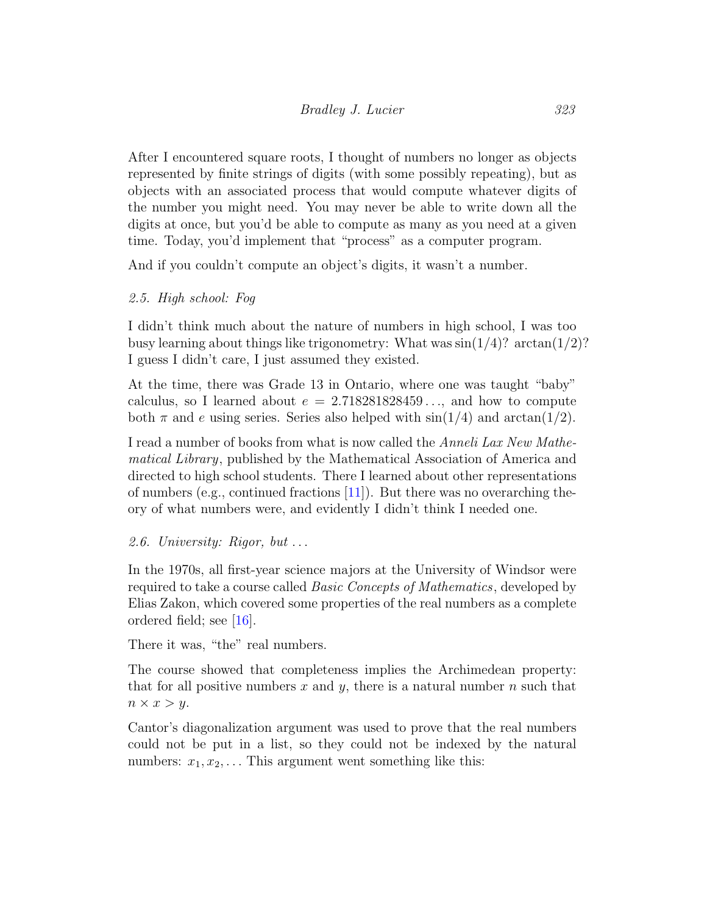After I encountered square roots, I thought of numbers no longer as objects represented by finite strings of digits (with some possibly repeating), but as objects with an associated process that would compute whatever digits of the number you might need. You may never be able to write down all the digits at once, but you'd be able to compute as many as you need at a given time. Today, you'd implement that "process" as a computer program.

And if you couldn't compute an object's digits, it wasn't a number.

# 2.5. High school: Fog

I didn't think much about the nature of numbers in high school, I was too busy learning about things like trigonometry: What was  $\sin(1/4)$ ?  $\arctan(1/2)$ ? I guess I didn't care, I just assumed they existed.

At the time, there was Grade 13 in Ontario, where one was taught "baby" calculus, so I learned about  $e = 2.718281828459...$ , and how to compute both  $\pi$  and e using series. Series also helped with  $\sin(1/4)$  and  $\arctan(1/2)$ .

I read a number of books from what is now called the Anneli Lax New Mathematical Library, published by the Mathematical Association of America and directed to high school students. There I learned about other representations of numbers (e.g., continued fractions [\[11\]](#page-29-5)). But there was no overarching theory of what numbers were, and evidently I didn't think I needed one.

# 2.6. University: Rigor, but . . .

In the 1970s, all first-year science majors at the University of Windsor were required to take a course called Basic Concepts of Mathematics, developed by Elias Zakon, which covered some properties of the real numbers as a complete ordered field; see [\[16\]](#page-30-1).

There it was, "the" real numbers.

The course showed that completeness implies the Archimedean property: that for all positive numbers x and y, there is a natural number  $n$  such that  $n \times x > y$ .

Cantor's diagonalization argument was used to prove that the real numbers could not be put in a list, so they could not be indexed by the natural numbers:  $x_1, x_2, \ldots$  This argument went something like this: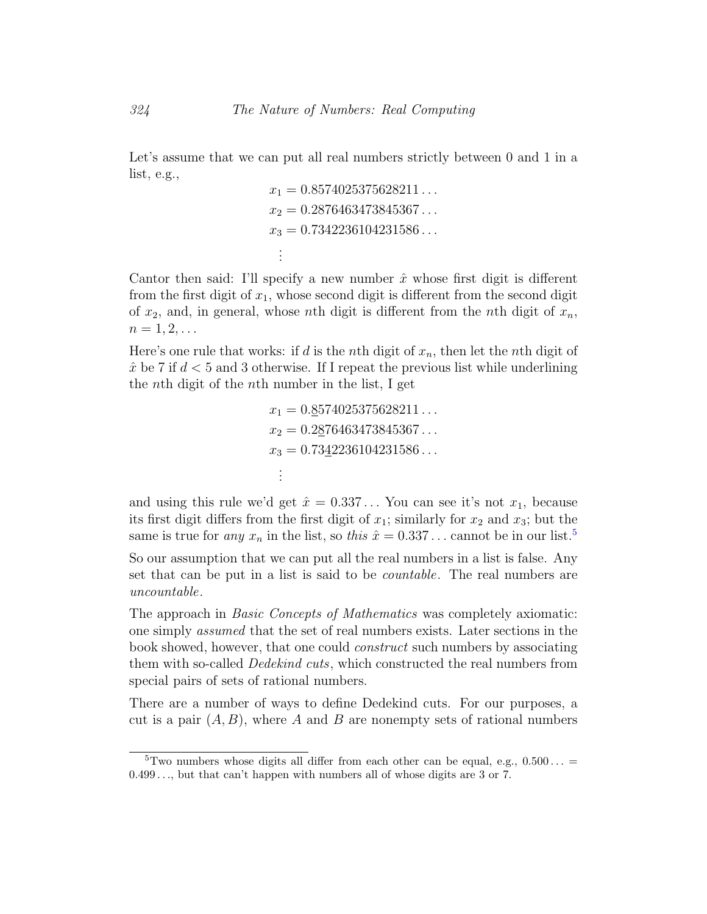Let's assume that we can put all real numbers strictly between 0 and 1 in a list, e.g.,

$$
x_1 = 0.8574025375628211...
$$
  
\n
$$
x_2 = 0.2876463473845367...
$$
  
\n
$$
x_3 = 0.7342236104231586...
$$
  
\n...

Cantor then said: I'll specify a new number  $\hat{x}$  whose first digit is different from the first digit of  $x_1$ , whose second digit is different from the second digit of  $x_2$ , and, in general, whose nth digit is different from the nth digit of  $x_n$ ,  $n=1,2,\ldots$ 

Here's one rule that works: if d is the nth digit of  $x_n$ , then let the nth digit of  $\hat{x}$  be 7 if  $d < 5$  and 3 otherwise. If I repeat the previous list while underlining the nth digit of the nth number in the list, I get

$$
x_1 = 0.\underline{8}574025375628211...
$$
  
\n
$$
x_2 = 0.2\underline{8}76463473845367...
$$
  
\n
$$
x_3 = 0.73\underline{4}2236104231586...
$$
  
\n
$$
\vdots
$$

and using this rule we'd get  $\hat{x} = 0.337...$  You can see it's not  $x_1$ , because its first digit differs from the first digit of  $x_1$ ; similarly for  $x_2$  and  $x_3$ ; but the same is true for *any*  $x_n$  in the list, so *this*  $\hat{x} = 0.337...$  cannot be in our list.<sup>[5](#page-1-0)</sup>

So our assumption that we can put all the real numbers in a list is false. Any set that can be put in a list is said to be *countable*. The real numbers are uncountable.

The approach in Basic Concepts of Mathematics was completely axiomatic: one simply assumed that the set of real numbers exists. Later sections in the book showed, however, that one could construct such numbers by associating them with so-called *Dedekind cuts*, which constructed the real numbers from special pairs of sets of rational numbers.

There are a number of ways to define Dedekind cuts. For our purposes, a cut is a pair  $(A, B)$ , where A and B are nonempty sets of rational numbers

<sup>&</sup>lt;sup>5</sup>Two numbers whose digits all differ from each other can be equal, e.g.,  $0.500...$  = 0.499 . . ., but that can't happen with numbers all of whose digits are 3 or 7.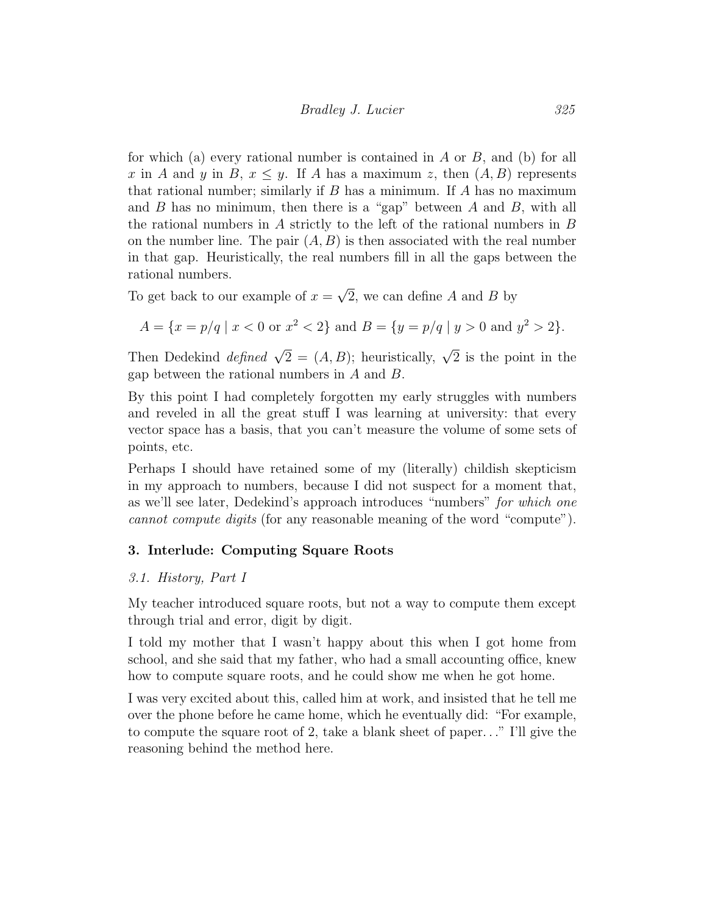for which (a) every rational number is contained in  $A$  or  $B$ , and (b) for all x in A and y in B,  $x \leq y$ . If A has a maximum z, then  $(A, B)$  represents that rational number; similarly if  $B$  has a minimum. If  $A$  has no maximum and  $B$  has no minimum, then there is a "gap" between  $A$  and  $B$ , with all the rational numbers in  $A$  strictly to the left of the rational numbers in  $B$ on the number line. The pair  $(A, B)$  is then associated with the real number in that gap. Heuristically, the real numbers fill in all the gaps between the rational numbers. √

To get back to our example of  $x =$ 2, we can define  $A$  and  $B$  by

$$
A = \{x = p/q \mid x < 0 \text{ or } x^2 < 2\} \text{ and } B = \{y = p/q \mid y > 0 \text{ and } y^2 > 2\}.
$$

Then Dedekind *defined*  $\sqrt{2} = (A, B)$ ; heuristically,  $\sqrt{2}$  is the point in the gap between the rational numbers in A and B.

By this point I had completely forgotten my early struggles with numbers and reveled in all the great stuff I was learning at university: that every vector space has a basis, that you can't measure the volume of some sets of points, etc.

Perhaps I should have retained some of my (literally) childish skepticism in my approach to numbers, because I did not suspect for a moment that, as we'll see later, Dedekind's approach introduces "numbers" for which one cannot compute digits (for any reasonable meaning of the word "compute").

## <span id="page-9-0"></span>3. Interlude: Computing Square Roots

## 3.1. History, Part I

My teacher introduced square roots, but not a way to compute them except through trial and error, digit by digit.

I told my mother that I wasn't happy about this when I got home from school, and she said that my father, who had a small accounting office, knew how to compute square roots, and he could show me when he got home.

I was very excited about this, called him at work, and insisted that he tell me over the phone before he came home, which he eventually did: "For example, to compute the square root of 2, take a blank sheet of paper. . ." I'll give the reasoning behind the method here.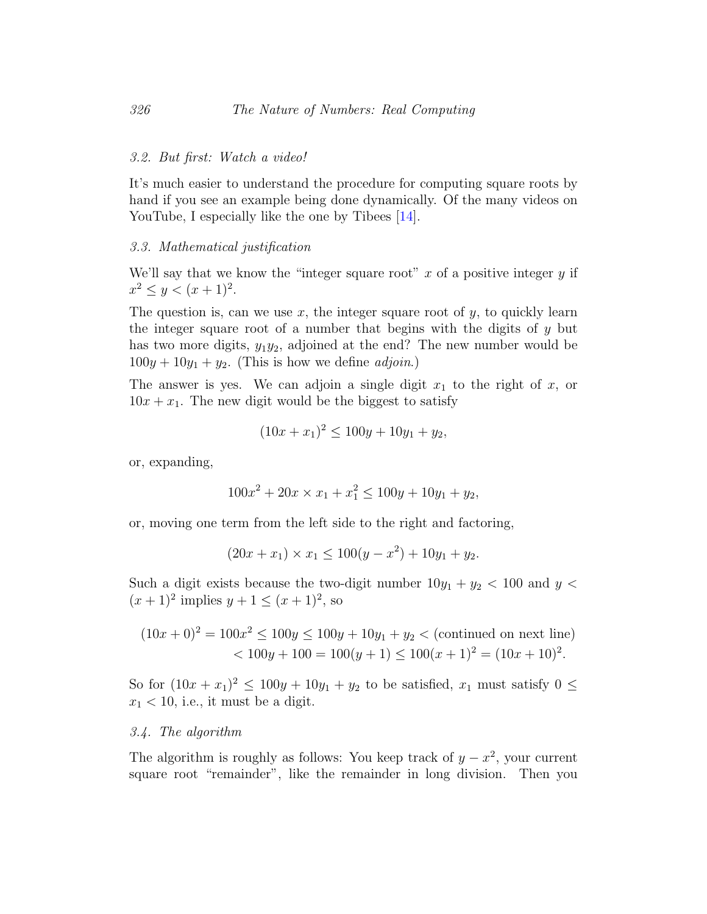#### 3.2. But first: Watch a video!

It's much easier to understand the procedure for computing square roots by hand if you see an example being done dynamically. Of the many videos on YouTube, I especially like the one by Tibees [\[14\]](#page-30-2).

### 3.3. Mathematical justification

We'll say that we know the "integer square root"  $x$  of a positive integer  $y$  if  $x^2 \leq y < (x+1)^2$ .

The question is, can we use  $x$ , the integer square root of  $y$ , to quickly learn the integer square root of a number that begins with the digits of  $y$  but has two more digits,  $y_1y_2$ , adjoined at the end? The new number would be  $100y + 10y<sub>1</sub> + y<sub>2</sub>$ . (This is how we define *adjoin*.)

The answer is yes. We can adjoin a single digit  $x_1$  to the right of  $x$ , or  $10x + x_1$ . The new digit would be the biggest to satisfy

$$
(10x + x1)2 \le 100y + 10y1 + y2,
$$

or, expanding,

$$
100x^2 + 20x \times x_1 + x_1^2 \le 100y + 10y_1 + y_2,
$$

or, moving one term from the left side to the right and factoring,

$$
(20x + x_1) \times x_1 \le 100(y - x^2) + 10y_1 + y_2.
$$

Such a digit exists because the two-digit number  $10y_1 + y_2 < 100$  and  $y <$  $(x+1)^2$  implies  $y+1 \leq (x+1)^2$ , so

$$
(10x+0)^2 = 100x^2 \le 100y \le 100y + 10y_1 + y_2 < \text{(continued on next line)}
$$
  
< 
$$
< 100y + 100 = 100(y+1) \le 100(x+1)^2 = (10x+10)^2.
$$

So for  $(10x + x_1)^2 \le 100y + 10y_1 + y_2$  to be satisfied,  $x_1$  must satisfy  $0 \le$  $x_1 < 10$ , i.e., it must be a digit.

### <span id="page-10-0"></span>3.4. The algorithm

The algorithm is roughly as follows: You keep track of  $y - x^2$ , your current square root "remainder", like the remainder in long division. Then you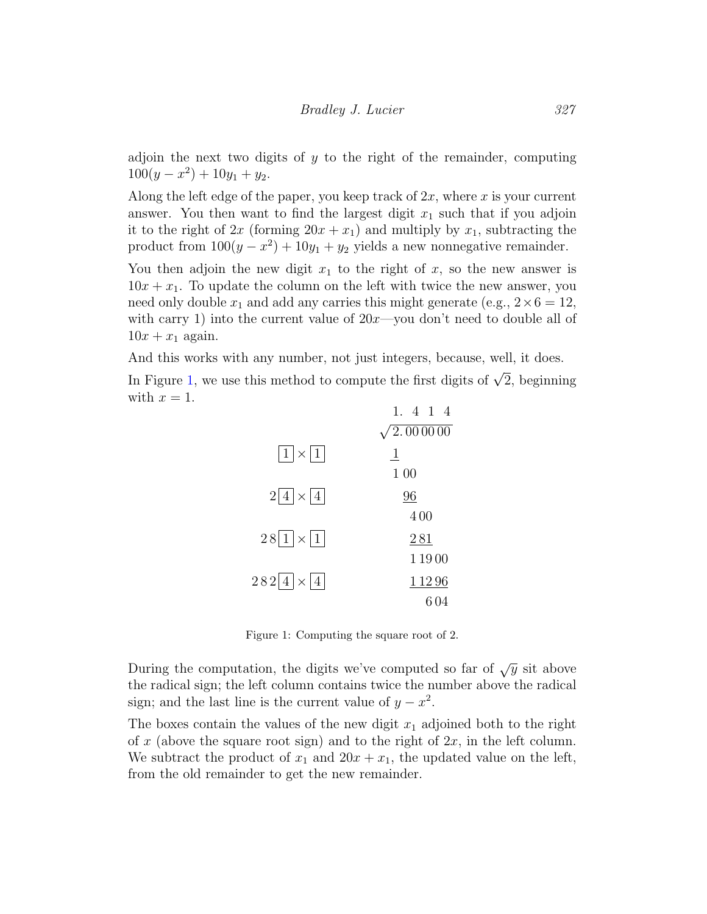adjoin the next two digits of  $y$  to the right of the remainder, computing  $100(y - x^2) + 10y_1 + y_2.$ 

Along the left edge of the paper, you keep track of  $2x$ , where x is your current answer. You then want to find the largest digit  $x_1$  such that if you adjoin it to the right of  $2x$  (forming  $20x + x_1$ ) and multiply by  $x_1$ , subtracting the product from  $100(y - x^2) + 10y_1 + y_2$  yields a new nonnegative remainder.

You then adjoin the new digit  $x_1$  to the right of x, so the new answer is  $10x + x_1$ . To update the column on the left with twice the new answer, you need only double  $x_1$  and add any carries this might generate (e.g.,  $2 \times 6 = 12$ , with carry 1) into the current value of  $20x$ —you don't need to double all of  $10x + x_1$  again.

And this works with any number, not just integers, because, well, it does.

In Figure [1,](#page-11-0) we use this method to compute the first digits of  $\sqrt{2}$ , beginning with  $x = 1$ .  $1 \quad 4 \quad 1 \quad 4$ 

|                                      | 1. 4 1 4                |
|--------------------------------------|-------------------------|
|                                      | $\sqrt{2.000000}$       |
| $ 1  \times  1 $                     | $\overline{\mathbf{1}}$ |
|                                      | 1 0 0                   |
| $2 4  \times  4 $                    | 96                      |
|                                      | 400                     |
| $28\overline{1} \times \overline{1}$ | 281                     |
|                                      | 11900                   |
| $282 4  \times  4 $                  | 1 1 2 9 6               |
|                                      | 604                     |

<span id="page-11-0"></span>Figure 1: Computing the square root of 2.

During the computation, the digits we've computed so far of  $\sqrt{y}$  sit above the radical sign; the left column contains twice the number above the radical sign; and the last line is the current value of  $y - x^2$ .

The boxes contain the values of the new digit  $x_1$  adjoined both to the right of x (above the square root sign) and to the right of  $2x$ , in the left column. We subtract the product of  $x_1$  and  $20x + x_1$ , the updated value on the left, from the old remainder to get the new remainder.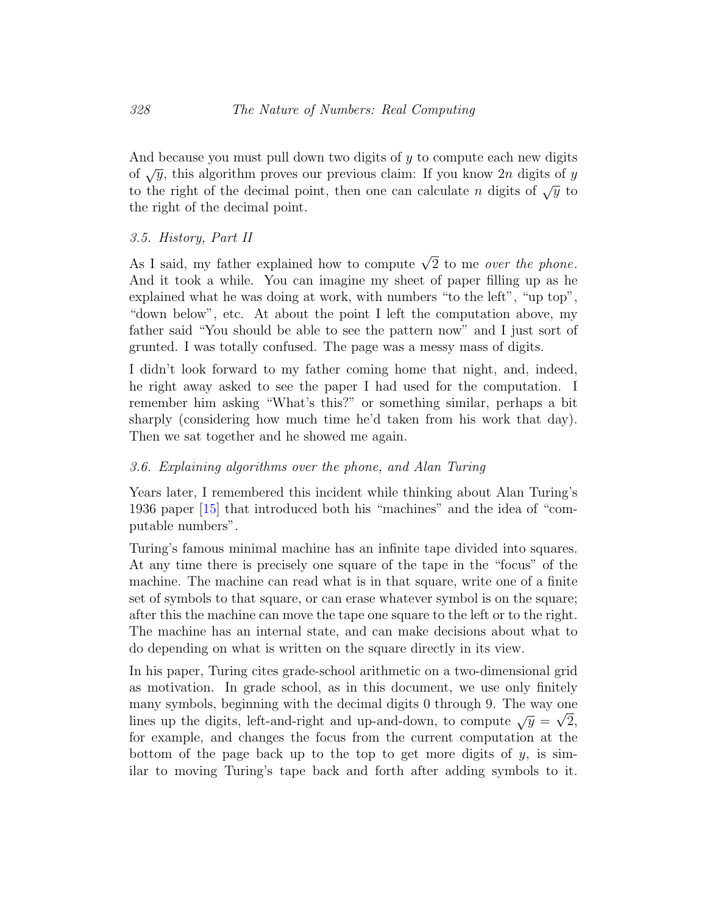And because you must pull down two digits of y to compute each new digits of  $\sqrt{y}$ , this algorithm proves our previous claim: If you know 2n digits of y to the right of the decimal point, then one can calculate n digits of  $\sqrt{y}$  to the right of the decimal point.

## 3.5. History, Part II

As I said, my father explained how to compute  $\sqrt{2}$  to me *over the phone*. And it took a while. You can imagine my sheet of paper filling up as he explained what he was doing at work, with numbers "to the left", "up top", "down below", etc. At about the point I left the computation above, my father said "You should be able to see the pattern now" and I just sort of grunted. I was totally confused. The page was a messy mass of digits.

I didn't look forward to my father coming home that night, and, indeed, he right away asked to see the paper I had used for the computation. I remember him asking "What's this?" or something similar, perhaps a bit sharply (considering how much time he'd taken from his work that day). Then we sat together and he showed me again.

## 3.6. Explaining algorithms over the phone, and Alan Turing

Years later, I remembered this incident while thinking about Alan Turing's 1936 paper [\[15\]](#page-30-3) that introduced both his "machines" and the idea of "computable numbers".

Turing's famous minimal machine has an infinite tape divided into squares. At any time there is precisely one square of the tape in the "focus" of the machine. The machine can read what is in that square, write one of a finite set of symbols to that square, or can erase whatever symbol is on the square; after this the machine can move the tape one square to the left or to the right. The machine has an internal state, and can make decisions about what to do depending on what is written on the square directly in its view.

In his paper, Turing cites grade-school arithmetic on a two-dimensional grid as motivation. In grade school, as in this document, we use only finitely many symbols, beginning with the decimal digits 0 through 9. The way one lines up the digits, left-and-right and up-and-down, to compute  $\sqrt{y} = \sqrt{2}$ , for example, and changes the focus from the current computation at the bottom of the page back up to the top to get more digits of  $y$ , is similar to moving Turing's tape back and forth after adding symbols to it.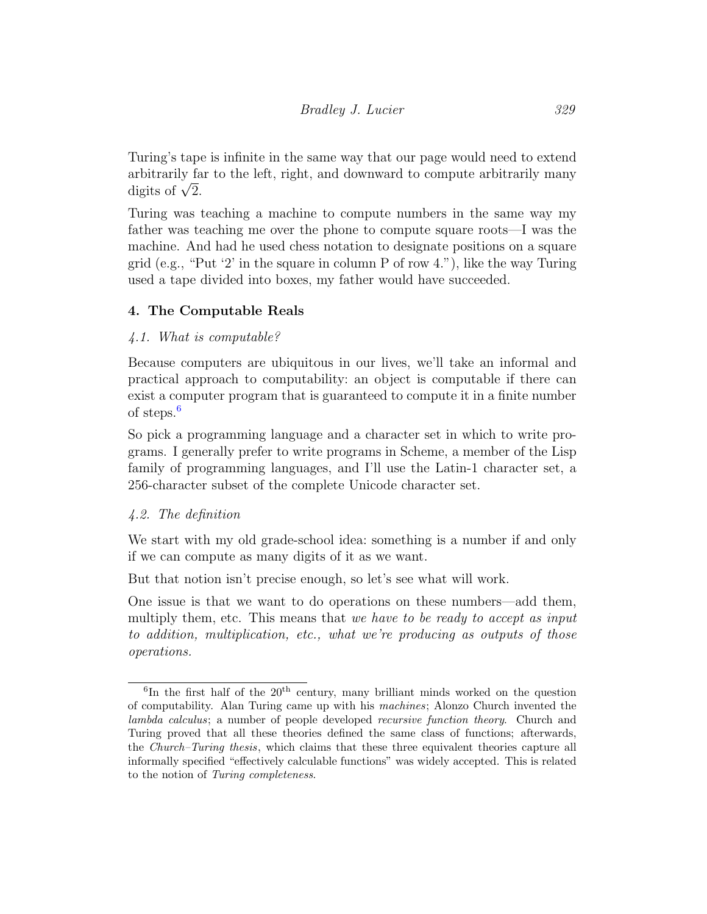Turing's tape is infinite in the same way that our page would need to extend arbitrarily far to the left, right, and downward to compute arbitrarily many arbitrarily is<br>digits of  $\sqrt{2}$ .

Turing was teaching a machine to compute numbers in the same way my father was teaching me over the phone to compute square roots—I was the machine. And had he used chess notation to designate positions on a square grid (e.g., "Put '2' in the square in column P of row 4."), like the way Turing used a tape divided into boxes, my father would have succeeded.

# 4. The Computable Reals

# 4.1. What is computable?

Because computers are ubiquitous in our lives, we'll take an informal and practical approach to computability: an object is computable if there can exist a computer program that is guaranteed to compute it in a finite number of steps.[6](#page-1-0)

So pick a programming language and a character set in which to write programs. I generally prefer to write programs in Scheme, a member of the Lisp family of programming languages, and I'll use the Latin-1 character set, a 256-character subset of the complete Unicode character set.

# 4.2. The definition

We start with my old grade-school idea: something is a number if and only if we can compute as many digits of it as we want.

But that notion isn't precise enough, so let's see what will work.

One issue is that we want to do operations on these numbers—add them, multiply them, etc. This means that we have to be ready to accept as input to addition, multiplication, etc., what we're producing as outputs of those operations.

 ${}^{6}$ In the first half of the  $20<sup>th</sup>$  century, many brilliant minds worked on the question of computability. Alan Turing came up with his machines; Alonzo Church invented the lambda calculus; a number of people developed recursive function theory. Church and Turing proved that all these theories defined the same class of functions; afterwards, the Church–Turing thesis, which claims that these three equivalent theories capture all informally specified "effectively calculable functions" was widely accepted. This is related to the notion of Turing completeness.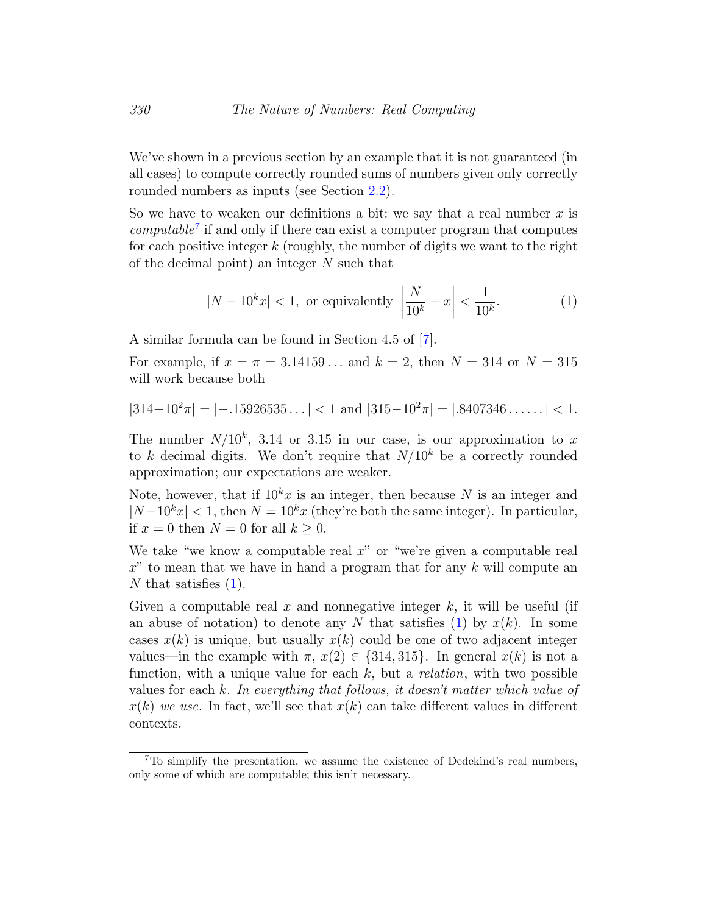We've shown in a previous section by an example that it is not guaranteed (in all cases) to compute correctly rounded sums of numbers given only correctly rounded numbers as inputs (see Section [2.2\)](#page-3-0).

So we have to weaken our definitions a bit: we say that a real number  $x$  is  $computable<sup>7</sup>$  $computable<sup>7</sup>$  $computable<sup>7</sup>$  if and only if there can exist a computer program that computes for each positive integer  $k$  (roughly, the number of digits we want to the right of the decimal point) an integer N such that

<span id="page-14-0"></span>
$$
|N - 10kx| < 1, \text{ or equivalently } \left| \frac{N}{10^k} - x \right| < \frac{1}{10^k}.\tag{1}
$$

A similar formula can be found in Section 4.5 of [\[7\]](#page-29-1).

For example, if  $x = \pi = 3.14159...$  and  $k = 2$ , then  $N = 314$  or  $N = 315$ will work because both

$$
|314-10^2\pi| = |-.15926535\ldots| < 1 \text{ and } |315-10^2\pi| = |.8407346\ldots| < 1.
$$

The number  $N/10^k$ , 3.14 or 3.15 in our case, is our approximation to x to k decimal digits. We don't require that  $N/10<sup>k</sup>$  be a correctly rounded approximation; our expectations are weaker.

Note, however, that if  $10<sup>k</sup>x$  is an integer, then because N is an integer and  $|N-10^k x| < 1$ , then  $N = 10^k x$  (they're both the same integer). In particular, if  $x = 0$  then  $N = 0$  for all  $k \geq 0$ .

We take "we know a computable real  $x$ " or "we're given a computable real  $x^{\prime\prime}$  to mean that we have in hand a program that for any k will compute an N that satisfies  $(1)$ .

Given a computable real x and nonnegative integer  $k$ , it will be useful (if an abuse of notation) to denote any N that satisfies [\(1\)](#page-14-0) by  $x(k)$ . In some cases  $x(k)$  is unique, but usually  $x(k)$  could be one of two adjacent integer values—in the example with  $\pi$ ,  $x(2) \in \{314, 315\}$ . In general  $x(k)$  is not a function, with a unique value for each  $k$ , but a *relation*, with two possible values for each k. In everything that follows, it doesn't matter which value of  $x(k)$  we use. In fact, we'll see that  $x(k)$  can take different values in different contexts.

<sup>7</sup>To simplify the presentation, we assume the existence of Dedekind's real numbers, only some of which are computable; this isn't necessary.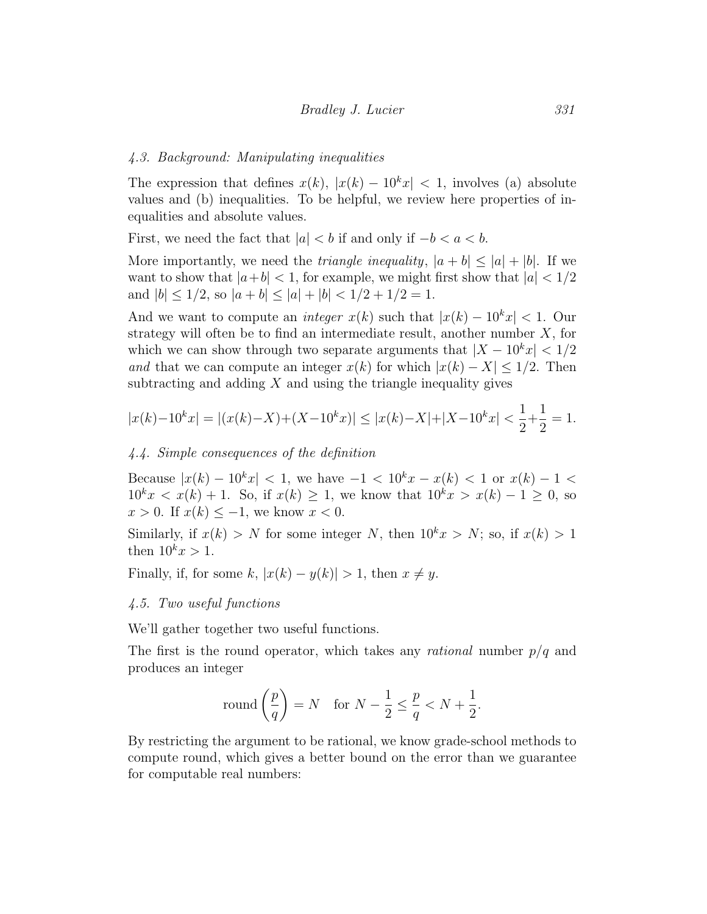### 4.3. Background: Manipulating inequalities

The expression that defines  $x(k)$ ,  $|x(k) - 10^k x| < 1$ , involves (a) absolute values and (b) inequalities. To be helpful, we review here properties of inequalities and absolute values.

First, we need the fact that  $|a| < b$  if and only if  $-b < a < b$ .

More importantly, we need the *triangle inequality*,  $|a + b| \leq |a| + |b|$ . If we want to show that  $|a+b| < 1$ , for example, we might first show that  $|a| < 1/2$ and  $|b| \leq 1/2$ , so  $|a + b| \leq |a| + |b| < 1/2 + 1/2 = 1$ .

And we want to compute an *integer*  $x(k)$  such that  $|x(k) - 10^k x| < 1$ . Our strategy will often be to find an intermediate result, another number  $X$ , for which we can show through two separate arguments that  $|X - 10^k x| < 1/2$ and that we can compute an integer  $x(k)$  for which  $|x(k) - X| \leq 1/2$ . Then subtracting and adding  $X$  and using the triangle inequality gives

$$
|x(k)-10^{k}x| = |(x(k)-X)+(X-10^{k}x)| \le |x(k)-X|+|X-10^{k}x| < \frac{1}{2} + \frac{1}{2} = 1.
$$

## 4.4. Simple consequences of the definition

Because  $|x(k) - 10^k x| < 1$ , we have  $-1 < 10^k x - x(k) < 1$  or  $x(k) - 1 <$  $10^k x < x(k) + 1$ . So, if  $x(k) \ge 1$ , we know that  $10^k x > x(k) - 1 \ge 0$ , so  $x > 0$ . If  $x(k) \leq -1$ , we know  $x < 0$ .

Similarly, if  $x(k) > N$  for some integer N, then  $10<sup>k</sup>x > N$ ; so, if  $x(k) > 1$ then  $10^k x > 1$ .

Finally, if, for some k,  $|x(k) - y(k)| > 1$ , then  $x \neq y$ .

## <span id="page-15-0"></span>4.5. Two useful functions

We'll gather together two useful functions.

The first is the round operator, which takes any *rational* number  $p/q$  and produces an integer

round 
$$
\left(\frac{p}{q}\right)
$$
 = N for  $N - \frac{1}{2} \le \frac{p}{q} < N + \frac{1}{2}$ .

By restricting the argument to be rational, we know grade-school methods to compute round, which gives a better bound on the error than we guarantee for computable real numbers: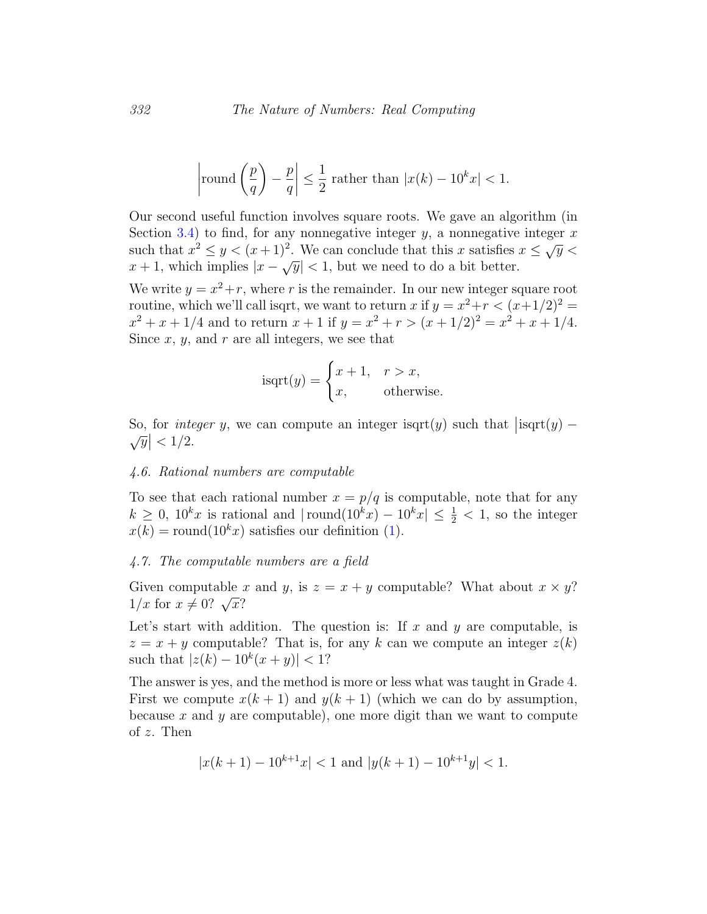$$
\left|\text{round}\left(\frac{p}{q}\right) - \frac{p}{q}\right| \le \frac{1}{2} \text{ rather than } |x(k) - 10^k x| < 1.
$$

Our second useful function involves square roots. We gave an algorithm (in Section [3.4\)](#page-10-0) to find, for any nonnegative integer  $y$ , a nonnegative integer  $x$ such that  $x^2 \leq y < (x+1)^2$ . We can conclude that this x satisfies  $x \leq \sqrt{y}$ such that  $x \leq y \leq (x+1)$ . We can conclude that this x satisfies.<br>  $x+1$ , which implies  $|x-\sqrt{y}| < 1$ , but we need to do a bit better.

We write  $y = x^2 + r$ , where r is the remainder. In our new integer square root routine, which we'll call isqrt, we want to return x if  $y = x^2+r < (x+1/2)^2$  $x^2 + x + 1/4$  and to return  $x + 1$  if  $y = x^2 + r > (x + 1/2)^2 = x^2 + x + 1/4$ . Since  $x, y$ , and  $r$  are all integers, we see that

isqrt
$$
(y)
$$
 = 
$$
\begin{cases} x+1, & r > x, \\ x, & \text{otherwise.} \end{cases}
$$

So, for *integer* y, we can compute an integer isqrt(y) such that  $|\text{isqrt}(y) - \sqrt{y}| < 1/2$ .  $\vert < 1/2$ .

## <span id="page-16-0"></span>4.6. Rational numbers are computable

To see that each rational number  $x = p/q$  is computable, note that for any  $k \geq 0$ ,  $10^k x$  is rational and  $|\text{round}(10^k x) - 10^k x| \leq \frac{1}{2} < 1$ , so the integer  $x(k) = \text{round}(10^k x)$  satisfies our definition [\(1\)](#page-14-0).

#### <span id="page-16-1"></span>4.7. The computable numbers are a field

Given computable x and y, is  $z = x + y$  computable? What about  $x \times y$ ? Given computable 3<br> $1/x$  for  $x \neq 0$ ?  $\sqrt{x}$ ?

Let's start with addition. The question is: If  $x$  and  $y$  are computable, is  $z = x + y$  computable? That is, for any k can we compute an integer  $z(k)$ such that  $|z(k) - 10^k(x + y)| < 1$ ?

The answer is yes, and the method is more or less what was taught in Grade 4. First we compute  $x(k + 1)$  and  $y(k + 1)$  (which we can do by assumption, because x and y are computable), one more digit than we want to compute of z. Then

$$
|x(k+1) - 10^{k+1}x| < 1 \text{ and } |y(k+1) - 10^{k+1}y| < 1.
$$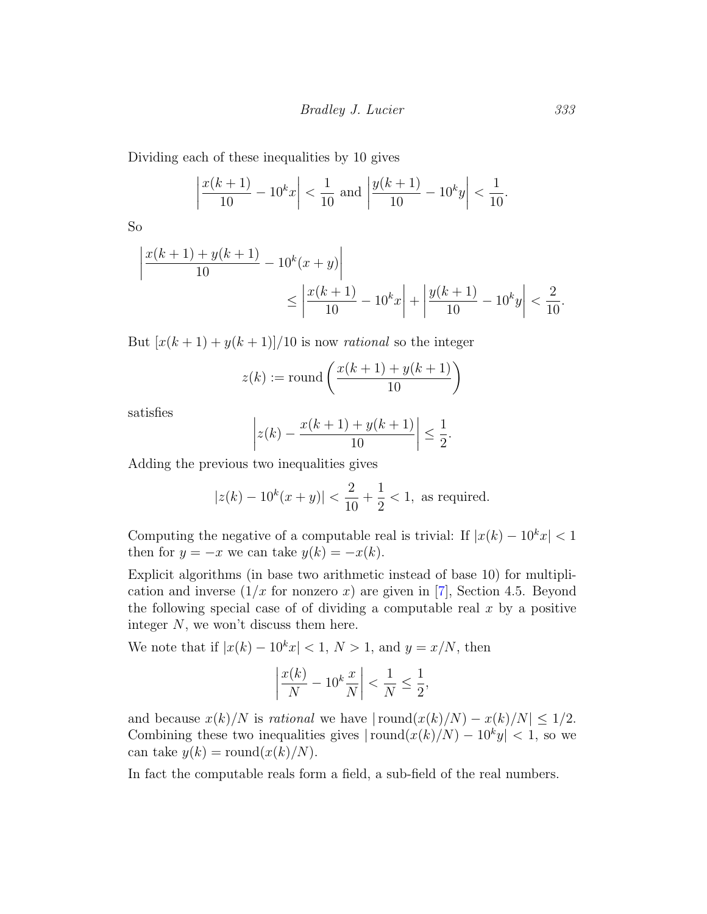Dividing each of these inequalities by 10 gives

$$
\left| \frac{x(k+1)}{10} - 10^k x \right| < \frac{1}{10} \text{ and } \left| \frac{y(k+1)}{10} - 10^k y \right| < \frac{1}{10}
$$

So

$$
\left| \frac{x(k+1) + y(k+1)}{10} - 10^k (x+y) \right|
$$
  
 
$$
\leq \left| \frac{x(k+1)}{10} - 10^k x \right| + \left| \frac{y(k+1)}{10} - 10^k y \right| < \frac{2}{10}.
$$

But  $[x(k+1) + y(k+1)]/10$  is now *rational* so the integer

$$
z(k) := \text{round}\left(\frac{x(k+1) + y(k+1)}{10}\right)
$$

satisfies

$$
\left| z(k) - \frac{x(k+1) + y(k+1)}{10} \right| \le \frac{1}{2}.
$$

Adding the previous two inequalities gives

$$
|z(k) - 10^k(x + y)| < \frac{2}{10} + \frac{1}{2} < 1
$$
, as required.

Computing the negative of a computable real is trivial: If  $|x(k) - 10^k x| < 1$ then for  $y = -x$  we can take  $y(k) = -x(k)$ .

Explicit algorithms (in base two arithmetic instead of base 10) for multiplication and inverse  $(1/x$  for nonzero x) are given in [\[7\]](#page-29-1), Section 4.5. Beyond the following special case of of dividing a computable real  $x$  by a positive integer N, we won't discuss them here.

We note that if  $|x(k) - 10^k x| < 1, N > 1$ , and  $y = x/N$ , then

$$
\left|\frac{x(k)}{N} - 10^k \frac{x}{N}\right| < \frac{1}{N} \le \frac{1}{2},
$$

and because  $x(k)/N$  is *rational* we have  $|\text{round}(x(k)/N) - x(k)/N| \leq 1/2$ . Combining these two inequalities gives  $|\text{round}(x(k)/N) - 10^k y| < 1$ , so we can take  $y(k) = \text{round}(x(k)/N)$ .

In fact the computable reals form a field, a sub-field of the real numbers.

.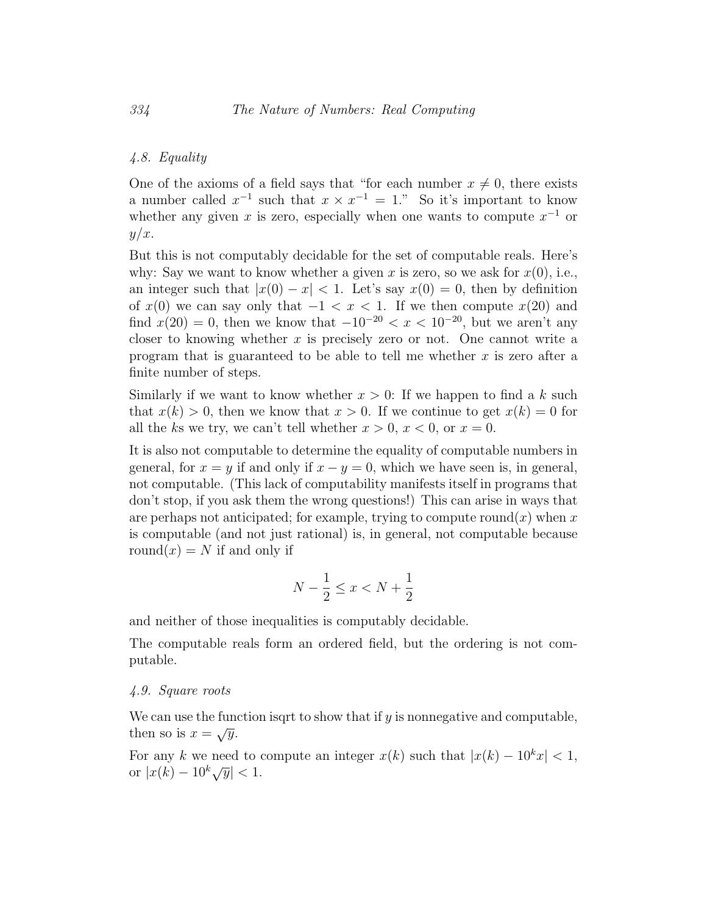## 4.8. Equality

One of the axioms of a field says that "for each number  $x \neq 0$ , there exists a number called  $x^{-1}$  such that  $x \times x^{-1} = 1$ ." So it's important to know whether any given x is zero, especially when one wants to compute  $x^{-1}$  or  $y/x$ .

But this is not computably decidable for the set of computable reals. Here's why: Say we want to know whether a given x is zero, so we ask for  $x(0)$ , i.e., an integer such that  $|x(0) - x| < 1$ . Let's say  $x(0) = 0$ , then by definition of  $x(0)$  we can say only that  $-1 < x < 1$ . If we then compute  $x(20)$  and find  $x(20) = 0$ , then we know that  $-10^{-20} < x < 10^{-20}$ , but we aren't any closer to knowing whether  $x$  is precisely zero or not. One cannot write a program that is guaranteed to be able to tell me whether  $x$  is zero after a finite number of steps.

Similarly if we want to know whether  $x > 0$ : If we happen to find a k such that  $x(k) > 0$ , then we know that  $x > 0$ . If we continue to get  $x(k) = 0$  for all the ks we try, we can't tell whether  $x > 0$ ,  $x < 0$ , or  $x = 0$ .

It is also not computable to determine the equality of computable numbers in general, for  $x = y$  if and only if  $x - y = 0$ , which we have seen is, in general, not computable. (This lack of computability manifests itself in programs that don't stop, if you ask them the wrong questions!) This can arise in ways that are perhaps not anticipated; for example, trying to compute round(x) when x is computable (and not just rational) is, in general, not computable because round $(x) = N$  if and only if

$$
N-\frac{1}{2}\leq x < N+\frac{1}{2}
$$

and neither of those inequalities is computably decidable.

The computable reals form an ordered field, but the ordering is not computable.

### <span id="page-18-0"></span>4.9. Square roots

We can use the function isqrt to show that if  $y$  is nonnegative and computable, then so is  $x = \sqrt{y}$ .

For any k we need to compute an integer  $x(k)$  such that  $|x(k) - 10^k x| < 1$ , or  $|x(k) - 10^k \sqrt{y}| < 1$ .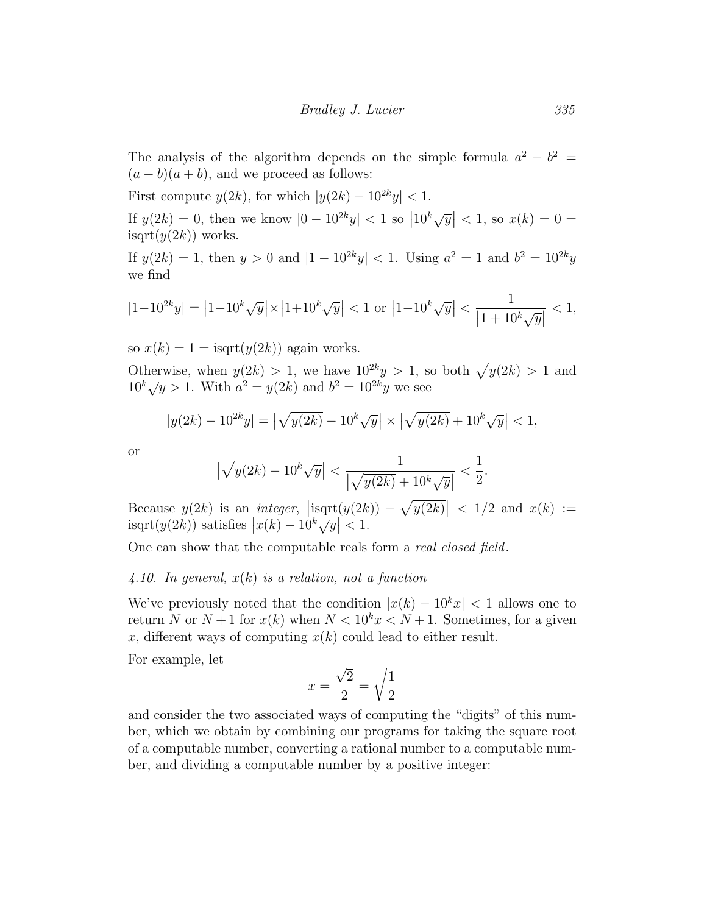The analysis of the algorithm depends on the simple formula  $a^2 - b^2 =$  $(a - b)(a + b)$ , and we proceed as follows:

First compute  $y(2k)$ , for which  $|y(2k) - 10^{2k}y| < 1$ . If  $y(2k) = 0$ , then we know  $|0 - 10^{2k}y| < 1$  so  $|10^k\sqrt{y}| < 1$ , so  $x(k) = 0$  =  $isqrt(y(2k))$  works.

If  $y(2k) = 1$ , then  $y > 0$  and  $|1 - 10^{2k}y| < 1$ . Using  $a^2 = 1$  and  $b^2 = 10^{2k}y$ we find

$$
|1-10^{2k}y| = |1-10^{k}\sqrt{y}| \times |1+10^{k}\sqrt{y}| < 1 \text{ or } |1-10^{k}\sqrt{y}| < \frac{1}{|1+10^{k}\sqrt{y}|} < 1,
$$

so  $x(k) = 1 = i$ sqrt $(y(2k))$  again works.

Otherwise, when  $y(2k) > 1$ , we have  $10^{2k}y > 1$ , so both  $\sqrt{y(2k)} > 1$  and Utility of the set of  $y \ge 1$ , we have 10  $y > 1$ , so  $10^k \sqrt{y} > 1$ . With  $a^2 = y(2k)$  and  $b^2 = 10^{2k}y$  we see

$$
|y(2k) - 10^{2k}y| = \left|\sqrt{y(2k)} - 10^k\sqrt{y}\right| \times \left|\sqrt{y(2k)} + 10^k\sqrt{y}\right| < 1,
$$

or

$$
\left|\sqrt{y(2k)}-10^k\sqrt{y}\right| < \frac{1}{\left|\sqrt{y(2k)}+10^k\sqrt{y}\right|} < \frac{1}{2}.
$$

Because  $y(2k)$  is an *integer*,  $|\text{isqrt}(y(2k)) - \sqrt{y(2k)}| < 1/2$  and  $x(k) :=$  $\text{inc}(y(2k))$  satisfies  $|x(k) - 10^k \sqrt{y}| < 1$ .

One can show that the computable reals form a real closed field.

## <span id="page-19-0"></span>4.10. In general,  $x(k)$  is a relation, not a function

We've previously noted that the condition  $|x(k) - 10^k x| < 1$  allows one to return N or  $N+1$  for  $x(k)$  when  $N < 10<sup>k</sup> x < N+1$ . Sometimes, for a given x, different ways of computing  $x(k)$  could lead to either result.

For example, let

$$
x = \frac{\sqrt{2}}{2} = \sqrt{\frac{1}{2}}
$$

and consider the two associated ways of computing the "digits" of this number, which we obtain by combining our programs for taking the square root of a computable number, converting a rational number to a computable number, and dividing a computable number by a positive integer: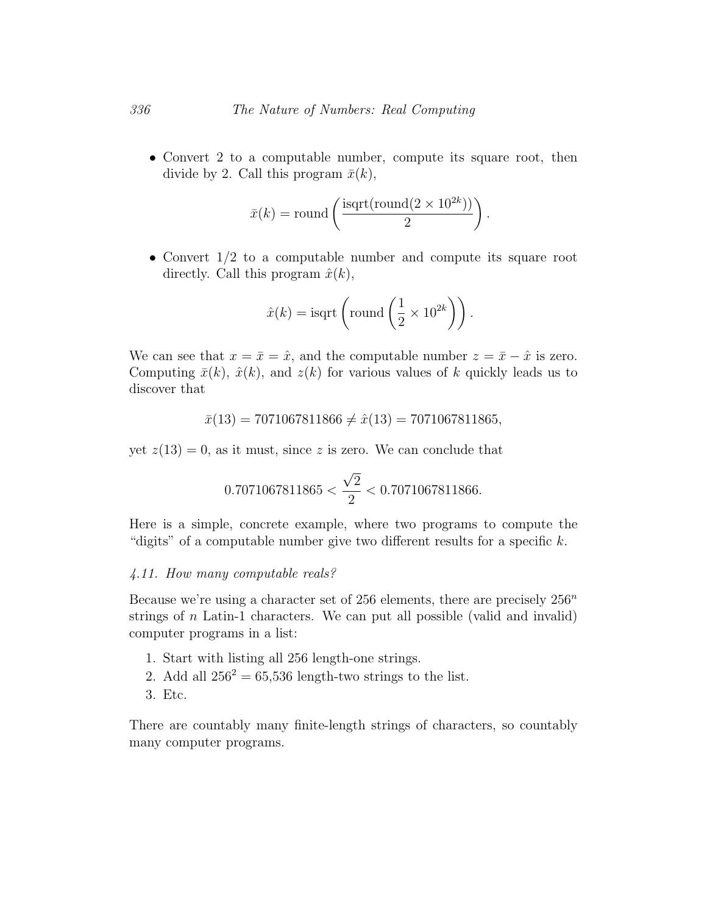• Convert 2 to a computable number, compute its square root, then divide by 2. Call this program  $\bar{x}(k)$ ,

$$
\bar{x}(k) = \text{round}\left(\frac{\text{isqrt}(\text{round}(2 \times 10^{2k}))}{2}\right).
$$

• Convert 1/2 to a computable number and compute its square root directly. Call this program  $\hat{x}(k)$ ,

$$
\hat{x}(k) = \text{isqrt}\left(\text{round}\left(\frac{1}{2} \times 10^{2k}\right)\right).
$$

We can see that  $x = \bar{x} = \hat{x}$ , and the computable number  $z = \bar{x} - \hat{x}$  is zero. Computing  $\bar{x}(k)$ ,  $\hat{x}(k)$ , and  $z(k)$  for various values of k quickly leads us to discover that

$$
\bar{x}(13) = 7071067811866 \neq \hat{x}(13) = 7071067811865,
$$

yet  $z(13) = 0$ , as it must, since z is zero. We can conclude that

$$
0.7071067811865 < \frac{\sqrt{2}}{2} < 0.7071067811866.
$$

Here is a simple, concrete example, where two programs to compute the "digits" of a computable number give two different results for a specific  $k$ .

# 4.11. How many computable reals?

Because we're using a character set of 256 elements, there are precisely  $256^n$ strings of  $n$  Latin-1 characters. We can put all possible (valid and invalid) computer programs in a list:

- 1. Start with listing all 256 length-one strings.
- 2. Add all  $256^2 = 65,536$  length-two strings to the list.
- 3. Etc.

There are countably many finite-length strings of characters, so countably many computer programs.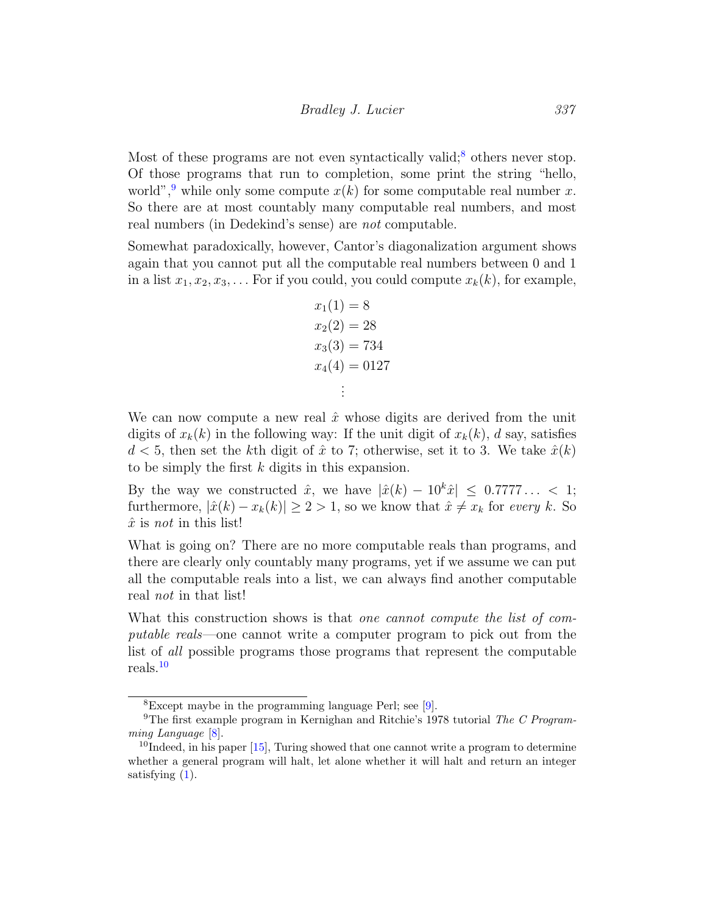Most of these programs are not even syntactically valid;<sup>[8](#page-1-0)</sup> others never stop. Of those programs that run to completion, some print the string "hello, world",<sup>[9](#page-1-0)</sup> while only some compute  $x(k)$  for some computable real number x. So there are at most countably many computable real numbers, and most real numbers (in Dedekind's sense) are not computable.

Somewhat paradoxically, however, Cantor's diagonalization argument shows again that you cannot put all the computable real numbers between 0 and 1 in a list  $x_1, x_2, x_3, \ldots$  For if you could, you could compute  $x_k(k)$ , for example,

$$
x_1(1) = 8
$$
  
\n
$$
x_2(2) = 28
$$
  
\n
$$
x_3(3) = 734
$$
  
\n
$$
x_4(4) = 0127
$$
  
\n
$$
\vdots
$$

We can now compute a new real  $\hat{x}$  whose digits are derived from the unit digits of  $x_k(k)$  in the following way: If the unit digit of  $x_k(k)$ , d say, satisfies  $d < 5$ , then set the kth digit of  $\hat{x}$  to 7; otherwise, set it to 3. We take  $\hat{x}(k)$ to be simply the first k digits in this expansion.

By the way we constructed  $\hat{x}$ , we have  $|\hat{x}(k) - 10^k \hat{x}| \leq 0.7777... < 1$ ; furthermore,  $|\hat{x}(k) - x_k(k)| \ge 2 > 1$ , so we know that  $\hat{x} \neq x_k$  for every k. So  $\hat{x}$  is not in this list!

What is going on? There are no more computable reals than programs, and there are clearly only countably many programs, yet if we assume we can put all the computable reals into a list, we can always find another computable real not in that list!

What this construction shows is that *one cannot compute the list of com*putable reals—one cannot write a computer program to pick out from the list of all possible programs those programs that represent the computable reals.[10](#page-1-0)

<sup>8</sup>Except maybe in the programming language Perl; see [\[9\]](#page-29-6).

<sup>9</sup>The first example program in Kernighan and Ritchie's 1978 tutorial The C Programming Language [\[8\]](#page-29-7).

 $10$ Indeed, in his paper  $[15]$ , Turing showed that one cannot write a program to determine whether a general program will halt, let alone whether it will halt and return an integer satisfying [\(1\)](#page-14-0).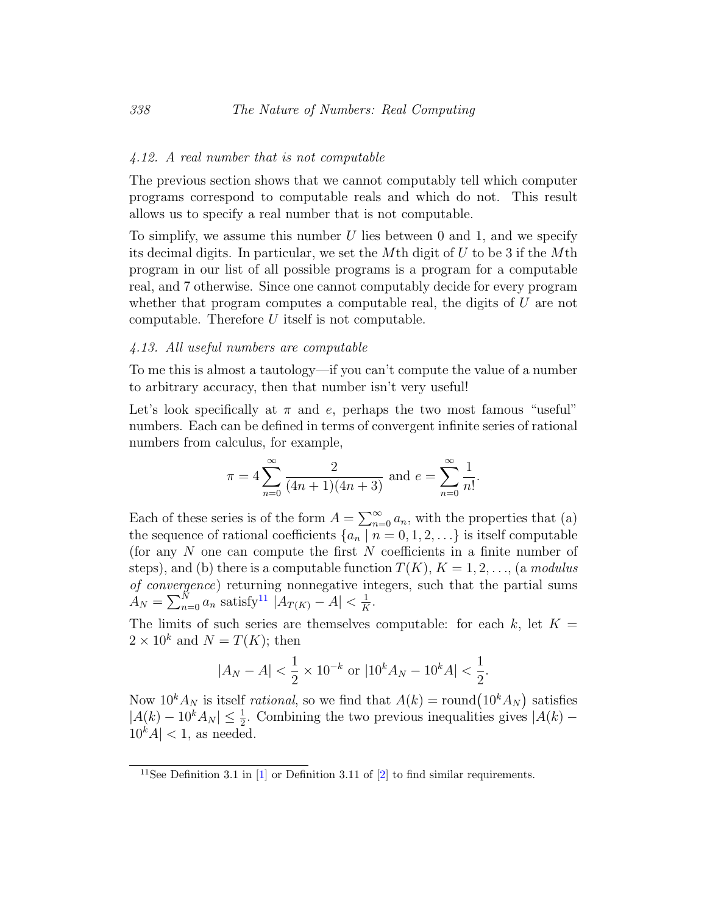### 4.12. A real number that is not computable

The previous section shows that we cannot computably tell which computer programs correspond to computable reals and which do not. This result allows us to specify a real number that is not computable.

To simplify, we assume this number U lies between 0 and 1, and we specify its decimal digits. In particular, we set the Mth digit of  $U$  to be 3 if the Mth program in our list of all possible programs is a program for a computable real, and 7 otherwise. Since one cannot computably decide for every program whether that program computes a computable real, the digits of  $U$  are not computable. Therefore  $U$  itself is not computable.

### 4.13. All useful numbers are computable

To me this is almost a tautology—if you can't compute the value of a number to arbitrary accuracy, then that number isn't very useful!

Let's look specifically at  $\pi$  and e, perhaps the two most famous "useful" numbers. Each can be defined in terms of convergent infinite series of rational numbers from calculus, for example,

$$
\pi = 4 \sum_{n=0}^{\infty} \frac{2}{(4n+1)(4n+3)}
$$
 and  $e = \sum_{n=0}^{\infty} \frac{1}{n!}$ .

Each of these series is of the form  $A = \sum_{n=0}^{\infty} a_n$ , with the properties that (a) the sequence of rational coefficients  $\{a_n \mid n = 0, 1, 2, \ldots\}$  is itself computable (for any  $N$  one can compute the first  $N$  coefficients in a finite number of steps), and (b) there is a computable function  $T(K)$ ,  $K = 1, 2, \ldots$ , (a modulus of convergence) returning nonnegative integers, such that the partial sums  $A_N = \sum_{n=0}^{N} a_n$  satisfy<sup>[11](#page-1-0)</sup>  $|A_{T(K)} - A| < \frac{1}{K}$  $\frac{1}{K}$ .

The limits of such series are themselves computable: for each k, let  $K =$  $2 \times 10^k$  and  $N = T(K)$ ; then

$$
|A_N - A| < \frac{1}{2} \times 10^{-k}
$$
 or  $|10^k A_N - 10^k A| < \frac{1}{2}$ .

Now  $10^k A_N$  is itself *rational*, so we find that  $A(k) = \text{round}(10^k A_N)$  satisfies  $|A(k) - 10^k A_N| \leq \frac{1}{2}$ . Combining the two previous inequalities gives  $|A(k) 10<sup>k</sup>A$  < 1, as needed.

<sup>&</sup>lt;sup>11</sup>See Definition 3.1 in  $[1]$  or Definition 3.11 of  $[2]$  to find similar requirements.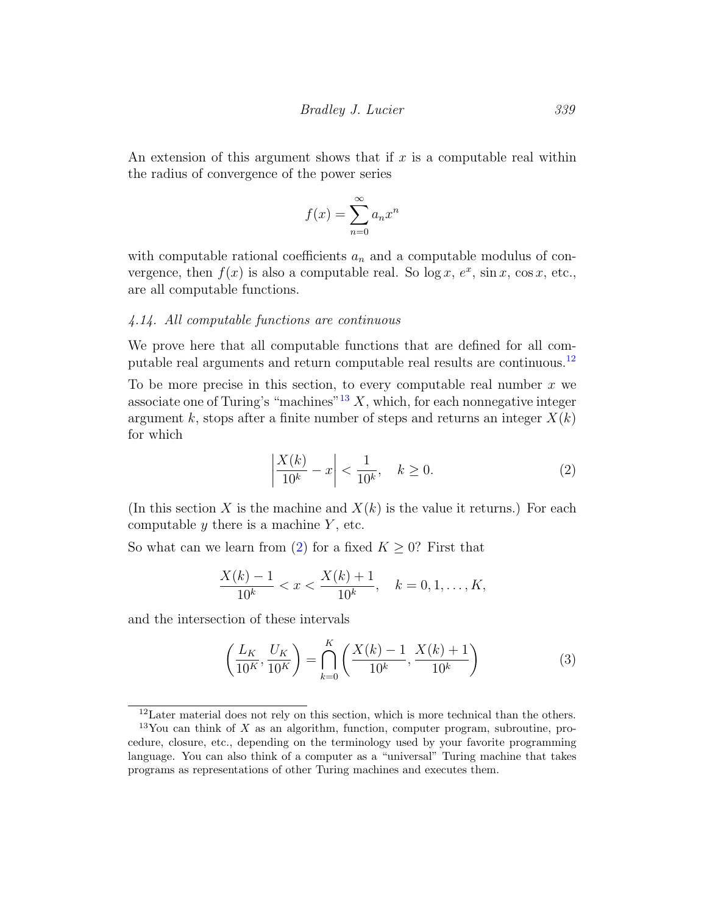An extension of this argument shows that if  $x$  is a computable real within the radius of convergence of the power series

$$
f(x) = \sum_{n=0}^{\infty} a_n x^n
$$

with computable rational coefficients  $a_n$  and a computable modulus of convergence, then  $f(x)$  is also a computable real. So  $\log x$ ,  $e^x$ ,  $\sin x$ ,  $\cos x$ , etc., are all computable functions.

## <span id="page-23-0"></span>4.14. All computable functions are continuous

We prove here that all computable functions that are defined for all com-putable real arguments and return computable real results are continuous.<sup>[12](#page-1-0)</sup>

To be more precise in this section, to every computable real number  $x$  we associate one of Turing's "machines"<sup>[13](#page-1-0)</sup>  $X$ , which, for each nonnegative integer argument k, stops after a finite number of steps and returns an integer  $X(k)$ for which

<span id="page-23-1"></span>
$$
\left| \frac{X(k)}{10^k} - x \right| < \frac{1}{10^k}, \quad k \ge 0. \tag{2}
$$

(In this section X is the machine and  $X(k)$  is the value it returns.) For each computable  $y$  there is a machine  $Y$ , etc.

So what can we learn from [\(2\)](#page-23-1) for a fixed  $K \geq 0$ ? First that

$$
\frac{X(k) - 1}{10^k} < x < \frac{X(k) + 1}{10^k}, \quad k = 0, 1, \dots, K,
$$

and the intersection of these intervals

<span id="page-23-2"></span>
$$
\left(\frac{L_K}{10^K}, \frac{U_K}{10^K}\right) = \bigcap_{k=0}^K \left(\frac{X(k) - 1}{10^k}, \frac{X(k) + 1}{10^k}\right) \tag{3}
$$

<sup>&</sup>lt;sup>12</sup>Later material does not rely on this section, which is more technical than the others.

 $13$ You can think of X as an algorithm, function, computer program, subroutine, procedure, closure, etc., depending on the terminology used by your favorite programming language. You can also think of a computer as a "universal" Turing machine that takes programs as representations of other Turing machines and executes them.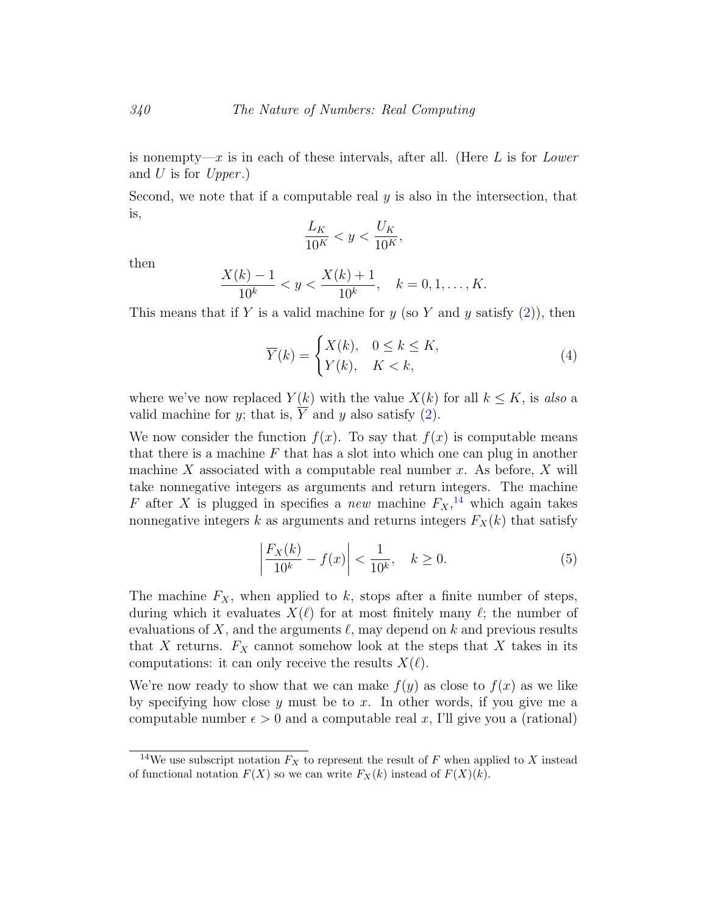is nonempty—x is in each of these intervals, after all. (Here L is for Lower and U is for  $Upper.$ )

Second, we note that if a computable real  $y$  is also in the intersection, that is,

$$
\frac{L_K}{10^K} < y < \frac{U_K}{10^K},
$$

then

$$
\frac{X(k) - 1}{10^k} < y < \frac{X(k) + 1}{10^k}, \quad k = 0, 1, \dots, K.
$$

This means that if Y is a valid machine for  $y$  (so Y and  $y$  satisfy [\(2\)](#page-23-1)), then

$$
\overline{Y}(k) = \begin{cases} X(k), & 0 \le k \le K, \\ Y(k), & K < k, \end{cases} \tag{4}
$$

where we've now replaced  $Y(k)$  with the value  $X(k)$  for all  $k \leq K$ , is also a valid machine for y; that is,  $\overline{Y}$  and y also satisfy [\(2\)](#page-23-1).

We now consider the function  $f(x)$ . To say that  $f(x)$  is computable means that there is a machine  $F$  that has a slot into which one can plug in another machine X associated with a computable real number  $x$ . As before,  $X$  will take nonnegative integers as arguments and return integers. The machine F after X is plugged in specifies a new machine  $F_X$ ,<sup>[14](#page-1-0)</sup> which again takes nonnegative integers k as arguments and returns integers  $F_X(k)$  that satisfy

$$
\left| \frac{F_X(k)}{10^k} - f(x) \right| < \frac{1}{10^k}, \quad k \ge 0. \tag{5}
$$

The machine  $F_X$ , when applied to k, stops after a finite number of steps, during which it evaluates  $X(\ell)$  for at most finitely many  $\ell$ ; the number of evaluations of X, and the arguments  $\ell$ , may depend on k and previous results that X returns.  $F_X$  cannot somehow look at the steps that X takes in its computations: it can only receive the results  $X(\ell)$ .

We're now ready to show that we can make  $f(y)$  as close to  $f(x)$  as we like by specifying how close  $y$  must be to  $x$ . In other words, if you give me a computable number  $\epsilon > 0$  and a computable real x, I'll give you a (rational)

<sup>&</sup>lt;sup>14</sup>We use subscript notation  $F_X$  to represent the result of F when applied to X instead of functional notation  $F(X)$  so we can write  $F_X(k)$  instead of  $F(X)(k)$ .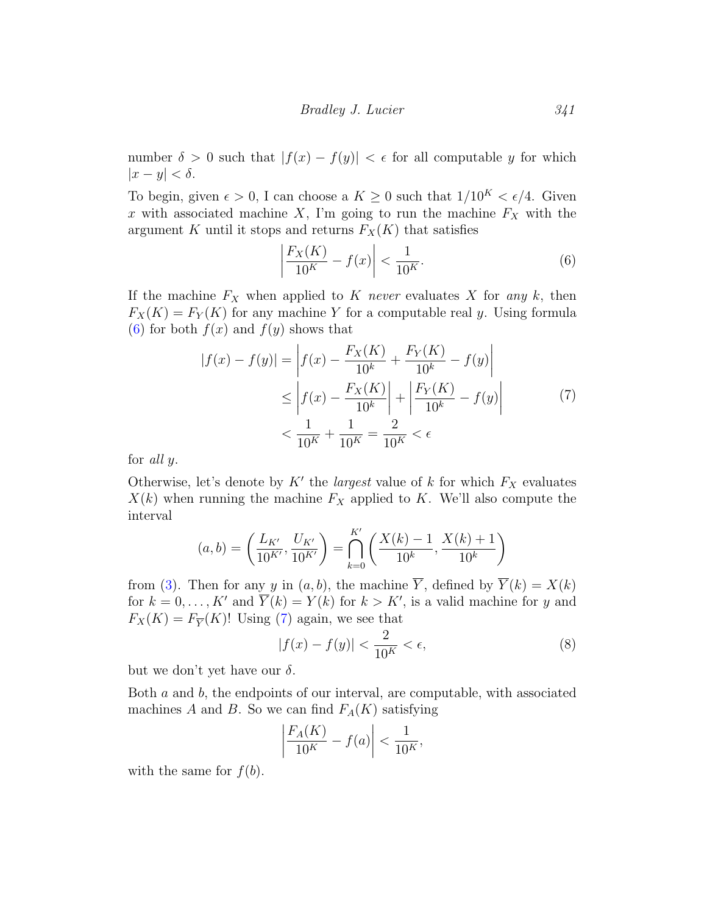number  $\delta > 0$  such that  $|f(x) - f(y)| < \epsilon$  for all computable y for which  $|x-y| < \delta$ .

To begin, given  $\epsilon > 0$ , I can choose a  $K \geq 0$  such that  $1/10^{K} < \epsilon/4$ . Given x with associated machine X, I'm going to run the machine  $F_X$  with the argument K until it stops and returns  $F_X(K)$  that satisfies

<span id="page-25-1"></span><span id="page-25-0"></span>
$$
\left| \frac{F_X(K)}{10^K} - f(x) \right| < \frac{1}{10^K}.\tag{6}
$$

If the machine  $F_X$  when applied to K never evaluates X for any k, then  $F_X(K) = F_Y(K)$  for any machine Y for a computable real y. Using formula [\(6\)](#page-25-0) for both  $f(x)$  and  $f(y)$  shows that

$$
|f(x) - f(y)| = \left| f(x) - \frac{F_X(K)}{10^k} + \frac{F_Y(K)}{10^k} - f(y) \right|
$$
  
\n
$$
\leq \left| f(x) - \frac{F_X(K)}{10^k} \right| + \left| \frac{F_Y(K)}{10^k} - f(y) \right|
$$
  
\n
$$
< \frac{1}{10^k} + \frac{1}{10^k} = \frac{2}{10^k} < \epsilon
$$
 (7)

for all y.

Otherwise, let's denote by  $K'$  the *largest* value of k for which  $F_X$  evaluates  $X(k)$  when running the machine  $F_X$  applied to K. We'll also compute the interval

$$
(a,b) = \left(\frac{L_{K'}}{10^{K'}}, \frac{U_{K'}}{10^{K'}}\right) = \bigcap_{k=0}^{K'} \left(\frac{X(k)-1}{10^k}, \frac{X(k)+1}{10^k}\right)
$$

from [\(3\)](#page-23-2). Then for any y in  $(a, b)$ , the machine  $\overline{Y}$ , defined by  $\overline{Y}(k) = X(k)$ for  $k = 0, \ldots, K'$  and  $\overline{Y}(k) = Y(k)$  for  $k > K'$ , is a valid machine for y and  $F_X(K) = F_{\overline{Y}}(K)!$  Using [\(7\)](#page-25-1) again, we see that

<span id="page-25-2"></span>
$$
|f(x) - f(y)| < \frac{2}{10^K} < \epsilon,\tag{8}
$$

but we don't yet have our  $\delta$ .

Both  $a$  and  $b$ , the endpoints of our interval, are computable, with associated machines A and B. So we can find  $F_A(K)$  satisfying

$$
\left| \frac{F_A(K)}{10^K} - f(a) \right| < \frac{1}{10^K},
$$

with the same for  $f(b)$ .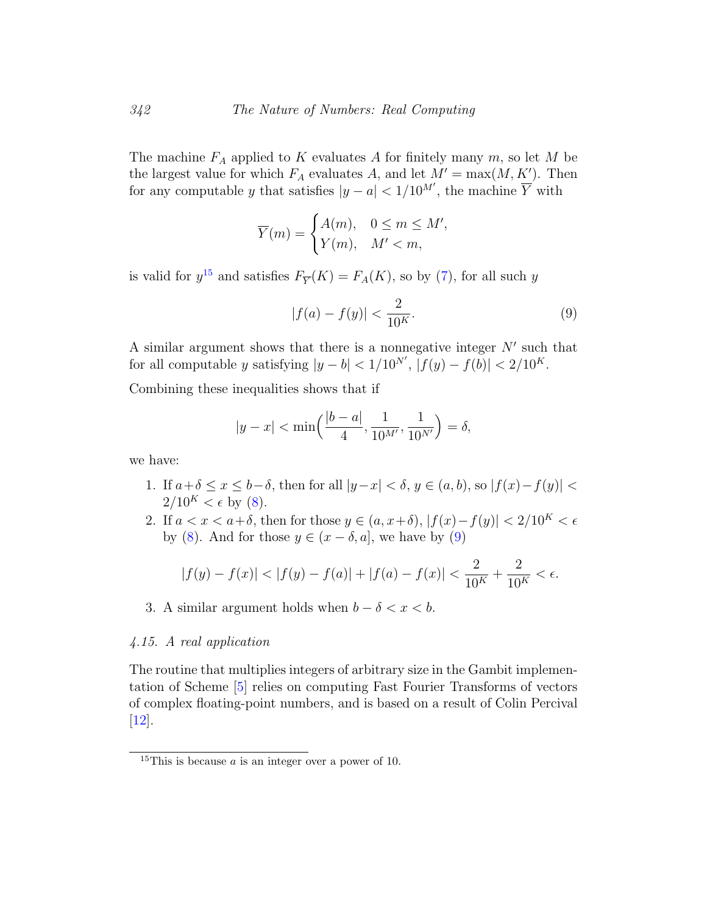The machine  $F_A$  applied to K evaluates A for finitely many  $m$ , so let M be the largest value for which  $F_A$  evaluates A, and let  $M' = \max(M, K')$ . Then for any computable y that satisfies  $|y - a| < 1/10^{M'}$ , the machine  $\overline{Y}$  with

$$
\overline{Y}(m) = \begin{cases} A(m), & 0 \le m \le M', \\ Y(m), & M' < m, \end{cases}
$$

is valid for  $y^{15}$  $y^{15}$  $y^{15}$  and satisfies  $F_{\overline{Y}}(K) = F_A(K)$ , so by [\(7\)](#page-25-1), for all such y

<span id="page-26-0"></span>
$$
|f(a) - f(y)| < \frac{2}{10^K}.\tag{9}
$$

A similar argument shows that there is a nonnegative integer  $N'$  such that for all computable y satisfying  $|y - b| < 1/10^{N'}$ ,  $|f(y) - f(b)| < 2/10^{K}$ .

Combining these inequalities shows that if

$$
|y - x| < \min\left(\frac{|b - a|}{4}, \frac{1}{10^{M'}}, \frac{1}{10^{N'}}\right) = \delta,
$$

we have:

- 1. If  $a+\delta \leq x \leq b-\delta$ , then for all  $|y-x| < \delta$ ,  $y \in (a, b)$ , so  $|f(x)-f(y)| < \delta$  $2/10^{K} < \epsilon$  by [\(8\)](#page-25-2).
- 2. If  $a < x < a+\delta$ , then for those  $y \in (a, x+\delta), |f(x)-f(y)| < 2/10<sup>K</sup> < \epsilon$ by [\(8\)](#page-25-2). And for those  $y \in (x - \delta, a]$ , we have by [\(9\)](#page-26-0)

$$
|f(y)-f(x)|<|f(y)-f(a)|+|f(a)-f(x)|<\frac{2}{10^K}+\frac{2}{10^K}<\epsilon.
$$

3. A similar argument holds when  $b - \delta < x < b$ .

#### 4.15. A real application

The routine that multiplies integers of arbitrary size in the Gambit implementation of Scheme [\[5\]](#page-29-9) relies on computing Fast Fourier Transforms of vectors of complex floating-point numbers, and is based on a result of Colin Percival [\[12\]](#page-30-4).

<sup>&</sup>lt;sup>15</sup>This is because  $a$  is an integer over a power of 10.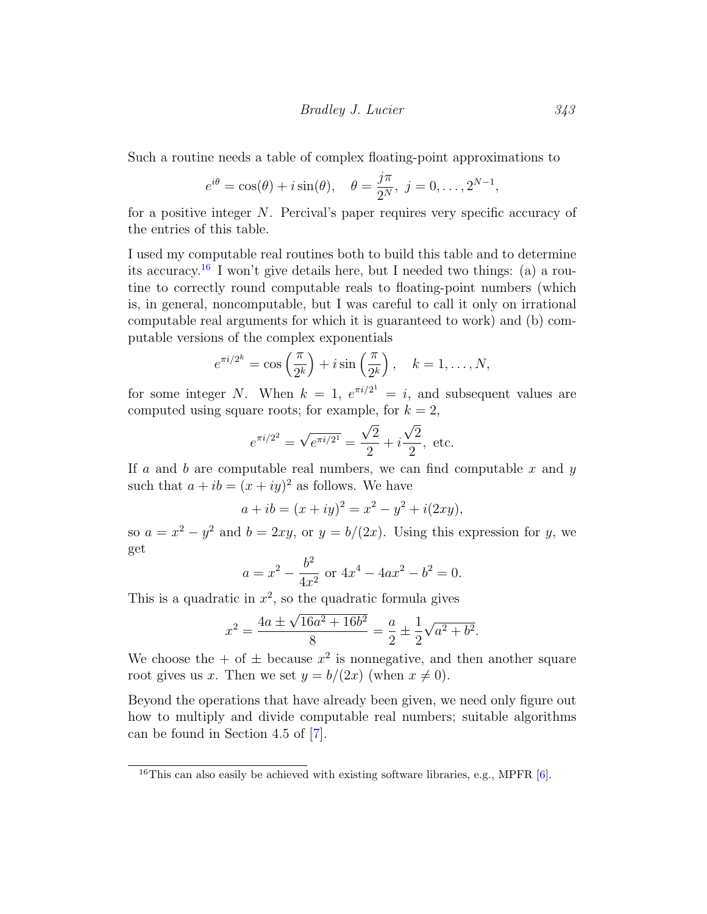Such a routine needs a table of complex floating-point approximations to

$$
e^{i\theta} = \cos(\theta) + i\sin(\theta), \quad \theta = \frac{j\pi}{2^N}, \ j = 0, \dots, 2^{N-1},
$$

for a positive integer  $N$ . Percival's paper requires very specific accuracy of the entries of this table.

I used my computable real routines both to build this table and to determine its accuracy.<sup>[16](#page-1-0)</sup> I won't give details here, but I needed two things: (a) a routine to correctly round computable reals to floating-point numbers (which is, in general, noncomputable, but I was careful to call it only on irrational computable real arguments for which it is guaranteed to work) and (b) computable versions of the complex exponentials

$$
e^{\pi i/2^k} = \cos\left(\frac{\pi}{2^k}\right) + i\sin\left(\frac{\pi}{2^k}\right), \quad k = 1, \dots, N,
$$

for some integer N. When  $k = 1$ ,  $e^{\pi i/2^{1}} = i$ , and subsequent values are computed using square roots; for example, for  $k = 2$ ,

$$
e^{\pi i/2^2} = \sqrt{e^{\pi i/2^1}} = \frac{\sqrt{2}}{2} + i\frac{\sqrt{2}}{2}
$$
, etc.

If a and b are computable real numbers, we can find computable  $x$  and  $y$ such that  $a + ib = (x + iy)^2$  as follows. We have

$$
a + ib = (x + iy)^2 = x^2 - y^2 + i(2xy),
$$

so  $a = x^2 - y^2$  and  $b = 2xy$ , or  $y = b/(2x)$ . Using this expression for y, we get

$$
a = x^2 - \frac{b^2}{4x^2} \text{ or } 4x^4 - 4ax^2 - b^2 = 0.
$$

This is a quadratic in  $x^2$ , so the quadratic formula gives

$$
x^{2} = \frac{4a \pm \sqrt{16a^{2} + 16b^{2}}}{8} = \frac{a}{2} \pm \frac{1}{2}\sqrt{a^{2} + b^{2}}.
$$

We choose the  $+$  of  $\pm$  because  $x^2$  is nonnegative, and then another square root gives us x. Then we set  $y = b/(2x)$  (when  $x \neq 0$ ).

Beyond the operations that have already been given, we need only figure out how to multiply and divide computable real numbers; suitable algorithms can be found in Section 4.5 of [\[7\]](#page-29-1).

<sup>&</sup>lt;sup>16</sup>This can also easily be achieved with existing software libraries, e.g., MPFR  $[6]$ .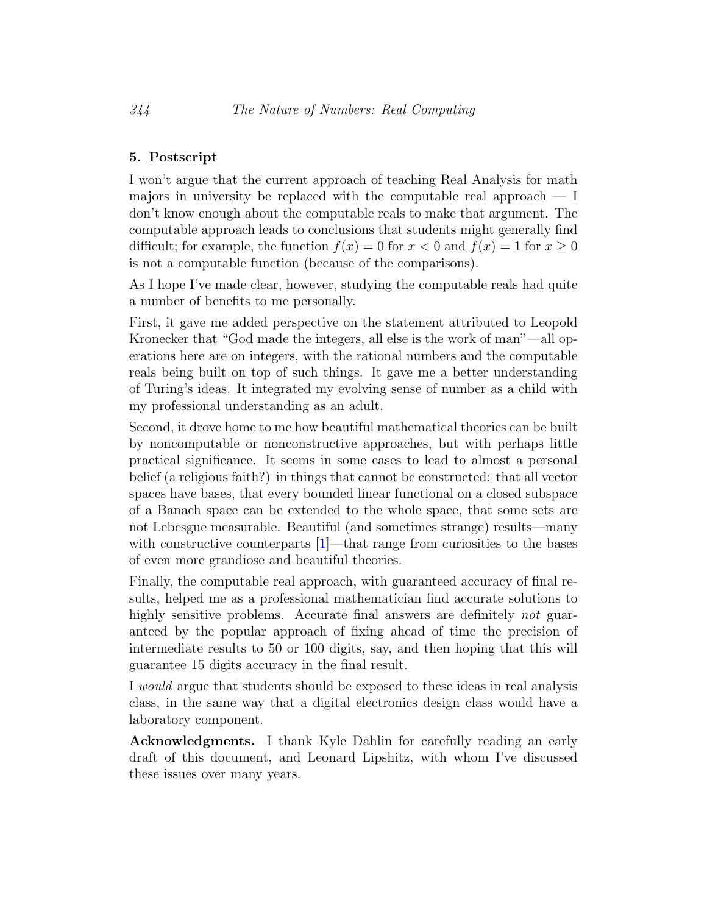# 5. Postscript

I won't argue that the current approach of teaching Real Analysis for math majors in university be replaced with the computable real approach  $- I$ don't know enough about the computable reals to make that argument. The computable approach leads to conclusions that students might generally find difficult; for example, the function  $f(x) = 0$  for  $x < 0$  and  $f(x) = 1$  for  $x \ge 0$ is not a computable function (because of the comparisons).

As I hope I've made clear, however, studying the computable reals had quite a number of benefits to me personally.

First, it gave me added perspective on the statement attributed to Leopold Kronecker that "God made the integers, all else is the work of man"—all operations here are on integers, with the rational numbers and the computable reals being built on top of such things. It gave me a better understanding of Turing's ideas. It integrated my evolving sense of number as a child with my professional understanding as an adult.

Second, it drove home to me how beautiful mathematical theories can be built by noncomputable or nonconstructive approaches, but with perhaps little practical significance. It seems in some cases to lead to almost a personal belief (a religious faith?) in things that cannot be constructed: that all vector spaces have bases, that every bounded linear functional on a closed subspace of a Banach space can be extended to the whole space, that some sets are not Lebesgue measurable. Beautiful (and sometimes strange) results—many with constructive counterparts [\[1\]](#page-29-8)—that range from curiosities to the bases of even more grandiose and beautiful theories.

Finally, the computable real approach, with guaranteed accuracy of final results, helped me as a professional mathematician find accurate solutions to highly sensitive problems. Accurate final answers are definitely not guaranteed by the popular approach of fixing ahead of time the precision of intermediate results to 50 or 100 digits, say, and then hoping that this will guarantee 15 digits accuracy in the final result.

I would argue that students should be exposed to these ideas in real analysis class, in the same way that a digital electronics design class would have a laboratory component.

Acknowledgments. I thank Kyle Dahlin for carefully reading an early draft of this document, and Leonard Lipshitz, with whom I've discussed these issues over many years.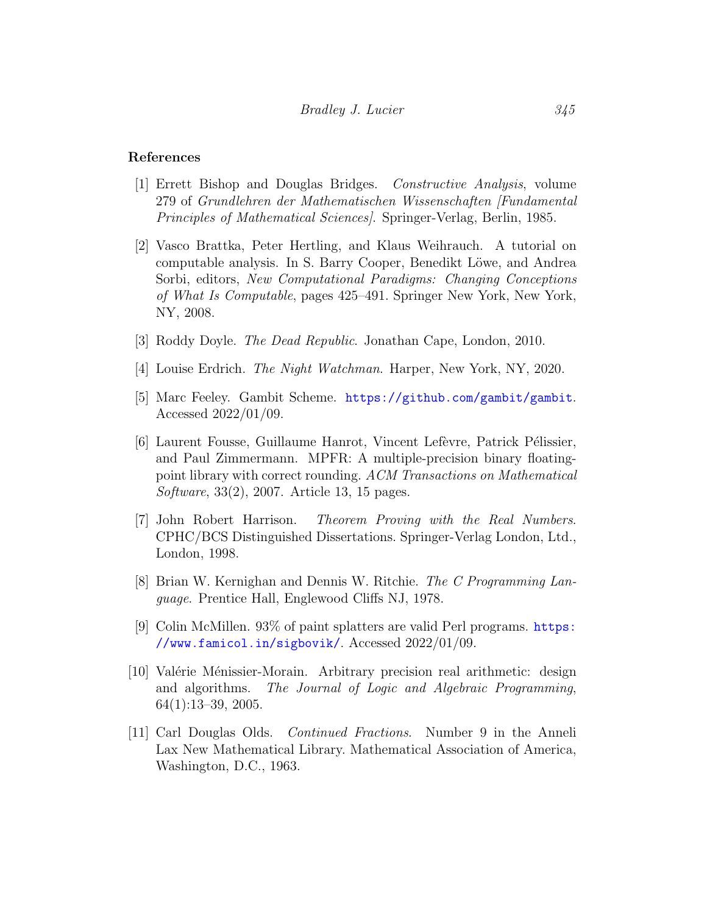### References

- <span id="page-29-8"></span>[1] Errett Bishop and Douglas Bridges. Constructive Analysis, volume 279 of Grundlehren der Mathematischen Wissenschaften [Fundamental Principles of Mathematical Sciences]. Springer-Verlag, Berlin, 1985.
- <span id="page-29-4"></span>[2] Vasco Brattka, Peter Hertling, and Klaus Weihrauch. A tutorial on computable analysis. In S. Barry Cooper, Benedikt Löwe, and Andrea Sorbi, editors, New Computational Paradigms: Changing Conceptions of What Is Computable, pages 425–491. Springer New York, New York, NY, 2008.
- <span id="page-29-0"></span>[3] Roddy Doyle. The Dead Republic. Jonathan Cape, London, 2010.
- <span id="page-29-2"></span>[4] Louise Erdrich. The Night Watchman. Harper, New York, NY, 2020.
- <span id="page-29-9"></span>[5] Marc Feeley. Gambit Scheme. <https://github.com/gambit/gambit>. Accessed 2022/01/09.
- <span id="page-29-10"></span>[6] Laurent Fousse, Guillaume Hanrot, Vincent Lefèvre, Patrick Pélissier, and Paul Zimmermann. MPFR: A multiple-precision binary floatingpoint library with correct rounding. ACM Transactions on Mathematical Software, 33(2), 2007. Article 13, 15 pages.
- <span id="page-29-1"></span>[7] John Robert Harrison. Theorem Proving with the Real Numbers. CPHC/BCS Distinguished Dissertations. Springer-Verlag London, Ltd., London, 1998.
- <span id="page-29-7"></span>[8] Brian W. Kernighan and Dennis W. Ritchie. The C Programming Language. Prentice Hall, Englewood Cliffs NJ, 1978.
- <span id="page-29-6"></span>[9] Colin McMillen. 93% of paint splatters are valid Perl programs. [https:](https://www.famicol.in/sigbovik/) [//www.famicol.in/sigbovik/](https://www.famicol.in/sigbovik/). Accessed 2022/01/09.
- <span id="page-29-3"></span>[10] Valérie Ménissier-Morain. Arbitrary precision real arithmetic: design and algorithms. The Journal of Logic and Algebraic Programming, 64(1):13–39, 2005.
- <span id="page-29-5"></span>[11] Carl Douglas Olds. Continued Fractions. Number 9 in the Anneli Lax New Mathematical Library. Mathematical Association of America, Washington, D.C., 1963.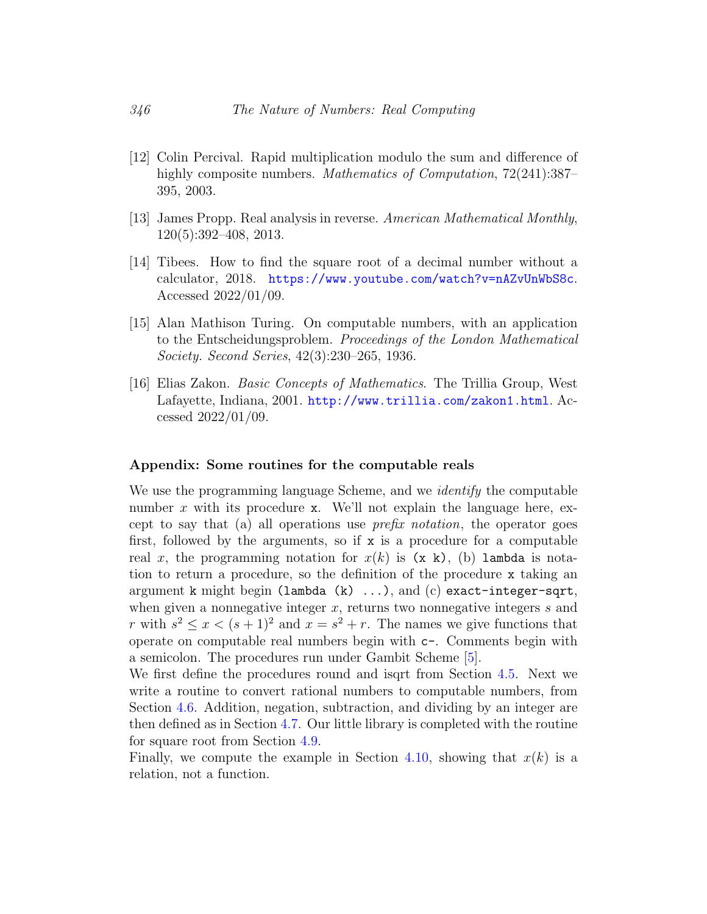- <span id="page-30-4"></span>[12] Colin Percival. Rapid multiplication modulo the sum and difference of highly composite numbers. Mathematics of Computation,  $72(241):387-$ 395, 2003.
- <span id="page-30-0"></span>[13] James Propp. Real analysis in reverse. American Mathematical Monthly, 120(5):392–408, 2013.
- <span id="page-30-2"></span>[14] Tibees. How to find the square root of a decimal number without a calculator, 2018. <https://www.youtube.com/watch?v=nAZvUnWbS8c>. Accessed 2022/01/09.
- <span id="page-30-3"></span>[15] Alan Mathison Turing. On computable numbers, with an application to the Entscheidungsproblem. Proceedings of the London Mathematical Society. Second Series, 42(3):230–265, 1936.
- <span id="page-30-1"></span>[16] Elias Zakon. Basic Concepts of Mathematics. The Trillia Group, West Lafayette, Indiana, 2001. <http://www.trillia.com/zakon1.html>. Accessed 2022/01/09.

### Appendix: Some routines for the computable reals

We use the programming language Scheme, and we *identify* the computable number x with its procedure x. We'll not explain the language here, except to say that (a) all operations use *prefix notation*, the operator goes first, followed by the arguments, so if  $x$  is a procedure for a computable real x, the programming notation for  $x(k)$  is  $(x k)$ , (b) lambda is notation to return a procedure, so the definition of the procedure x taking an argument k might begin (lambda (k) ...), and (c) exact-integer-sqrt, when given a nonnegative integer  $x$ , returns two nonnegative integers  $s$  and r with  $s^2 \leq x < (s+1)^2$  and  $x = s^2 + r$ . The names we give functions that operate on computable real numbers begin with c-. Comments begin with a semicolon. The procedures run under Gambit Scheme [\[5\]](#page-29-9).

We first define the procedures round and isqrt from Section [4.5.](#page-15-0) Next we write a routine to convert rational numbers to computable numbers, from Section [4.6.](#page-16-0) Addition, negation, subtraction, and dividing by an integer are then defined as in Section [4.7.](#page-16-1) Our little library is completed with the routine for square root from Section [4.9.](#page-18-0)

Finally, we compute the example in Section [4.10,](#page-19-0) showing that  $x(k)$  is a relation, not a function.